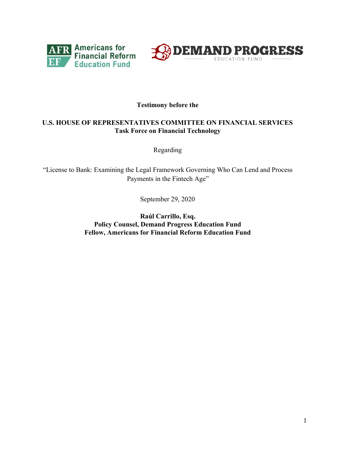



# **Testimony before the**

# **U.S. HOUSE OF REPRESENTATIVES COMMITTEE ON FINANCIAL SERVICES Task Force on Financial Technology**

Regarding

"License to Bank: Examining the Legal Framework Governing Who Can Lend and Process Payments in the Fintech Age"

September 29, 2020

**Raúl Carrillo, Esq. Policy Counsel, Demand Progress Education Fund Fellow, Americans for Financial Reform Education Fund**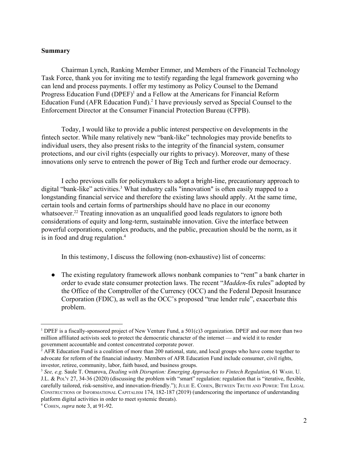#### **Summary**

Chairman Lynch, Ranking Member Emmer, and Members of the Financial Technology Task Force, thank you for inviting me to testify regarding the legal framework governing who can lend and process payments. I offer my testimony as Policy Counsel to the Demand Progress Education Fund (DPEF)<sup>1</sup> and a Fellow at the Americans for Financial Reform Education Fund (AFR Education Fund).<sup>2</sup> I have previously served as Special Counsel to the Enforcement Director at the Consumer Financial Protection Bureau (CFPB).

Today, I would like to provide a public interest perspective on developments in the fintech sector. While many relatively new "bank-like" technologies may provide benefits to individual users, they also present risks to the integrity of the financial system, consumer protections, and our civil rights (especially our rights to privacy). Moreover, many of these innovations only serve to entrench the power of Big Tech and further erode our democracy.

I echo previous calls for policymakers to adopt a bright-line, precautionary approach to digital "bank-like" activities.<sup>3</sup> What industry calls "innovation" is often easily mapped to a longstanding financial service and therefore the existing laws should apply. At the same time, certain tools and certain forms of partnerships should have no place in our economy whatsoever.<sup>22</sup> Treating innovation as an unqualified good leads regulators to ignore both considerations of equity and long-term, sustainable innovation. Give the interface between powerful corporations, complex products, and the public, precaution should be the norm, as it is in food and drug regulation.<sup>4</sup>

In this testimony, I discuss the following (non-exhaustive) list of concerns:

• The existing regulatory framework allows nonbank companies to "rent" a bank charter in order to evade state consumer protection laws. The recent "*Madden*-fix rules" adopted by the Office of the Comptroller of the Currency (OCC) and the Federal Deposit Insurance Corporation (FDIC), as well as the OCC's proposed "true lender rule", exacerbate this problem.

<sup>1</sup> DPEF is a fiscally-sponsored project of New Venture Fund, a 501(c)3 organization. DPEF and our more than two million affiliated activists seek to protect the democratic character of the internet — and wield it to render government accountable and contest concentrated corporate power.

<sup>&</sup>lt;sup>2</sup> AFR Education Fund is a coalition of more than 200 national, state, and local groups who have come together to advocate for reform of the financial industry. Members of AFR Education Fund include consumer, civil rights, investor, retiree, community, labor, faith based, and business groups.

<sup>3</sup> *See, e.g.* Saule T. Omarova, *Dealing with Disruption: Emerging Approaches to Fintech Regulation*, 61 WASH. U. J.L. & POL'<sup>Y</sup> 27, 34-36 (2020) (discussing the problem with "smart" regulation: regulation that is "iterative, flexible, carefully tailored, risk-sensitive, and innovation-friendly."); JULIE E. COHEN, BETWEEN TRUTH AND POWER: THE LEGAL CONSTRUCTIONS OF INFORMATIONAL CAPITALISM 174, 182-187 (2019) (underscoring the importance of understanding platform digital activities in order to meet systemic threats).

<sup>4</sup> COHEN, *supra* note 3, at 91-92.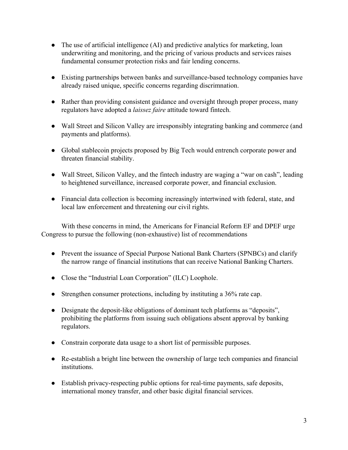- The use of artificial intelligence (AI) and predictive analytics for marketing, loan underwriting and monitoring, and the pricing of various products and services raises fundamental consumer protection risks and fair lending concerns.
- Existing partnerships between banks and surveillance-based technology companies have already raised unique, specific concerns regarding discrimnation.
- Rather than providing consistent guidance and oversight through proper process, many regulators have adopted a *laissez faire* attitude toward fintech.
- Wall Street and Silicon Valley are irresponsibly integrating banking and commerce (and payments and platforms).
- Global stablecoin projects proposed by Big Tech would entrench corporate power and threaten financial stability.
- Wall Street, Silicon Valley, and the fintech industry are waging a "war on cash", leading to heightened surveillance, increased corporate power, and financial exclusion.
- Financial data collection is becoming increasingly intertwined with federal, state, and local law enforcement and threatening our civil rights.

With these concerns in mind, the Americans for Financial Reform EF and DPEF urge Congress to pursue the following (non-exhaustive) list of recommendations

- Prevent the issuance of Special Purpose National Bank Charters (SPNBCs) and clarify the narrow range of financial institutions that can receive National Banking Charters.
- Close the "Industrial Loan Corporation" (ILC) Loophole.
- Strengthen consumer protections, including by instituting a 36% rate cap.
- Designate the deposit-like obligations of dominant tech platforms as "deposits", prohibiting the platforms from issuing such obligations absent approval by banking regulators.
- Constrain corporate data usage to a short list of permissible purposes.
- Re-establish a bright line between the ownership of large tech companies and financial institutions.
- Establish privacy-respecting public options for real-time payments, safe deposits, international money transfer, and other basic digital financial services.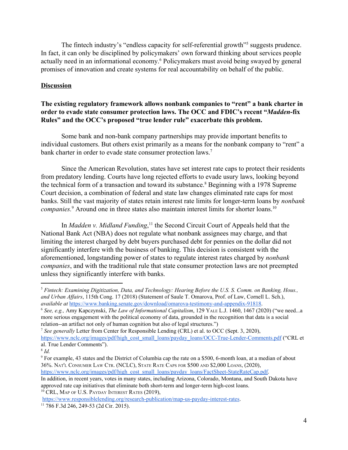The fintech industry's "endless capacity for self-referential growth"<sup>5</sup> suggests prudence. In fact, it can only be disciplined by policymakers' own forward thinking about services people actually need in an informational economy.<sup>6</sup> Policymakers must avoid being swayed by general promises of innovation and create systems for real accountability on behalf of the public.

# **Discussion**

# **The existing regulatory framework allows nonbank companies to "rent" a bank charter in order to evade state consumer protection laws. The OCC and FDIC's recent "***Madden***-fix Rules" and the OCC's proposed "true lender rule" exacerbate this problem.**

Some bank and non-bank company partnerships may provide important benefits to individual customers. But others exist primarily as a means for the nonbank company to "rent" a bank charter in order to evade state consumer protection laws.<sup>7</sup>

Since the American Revolution, states have set interest rate caps to protect their residents from predatory lending. Courts have long rejected efforts to evade usury laws, looking beyond the technical form of a transaction and toward its substance.<sup>8</sup> Beginning with a 1978 Supreme Court decision, a combination of federal and state law changes eliminated rate caps for most banks. Still the vast majority of states retain interest rate limits for longer-term loans by *nonbank companies.*<sup>9</sup> Around one in three states also maintain interest limits for shorter loans.<sup>10</sup>

In *Madden v. Midland Funding*,<sup>11</sup> the Second Circuit Court of Appeals held that the National Bank Act (NBA) does not regulate what nonbank assignees may charge, and that limiting the interest charged by debt buyers purchased debt for pennies on the dollar did not significantly interfere with the business of banking. This decision is consistent with the aforementioned, longstanding power of states to regulate interest rates charged by *nonbank companies*, and with the traditional rule that state consumer protection laws are not preempted unless they significantly interfere with banks.

approved rate cap initiatives that eliminate both short-term and longer-term high-cost loans. <sup>10</sup> CRL, MAP OF U.S. PAYDAY INTEREST RATES (2019),

[https://www.responsiblelending.org/research-publication/map-us-payday-interest-rates.](https://www.responsiblelending.org/research-publication/map-us-payday-interest-rates)

<sup>5</sup> *Fintech: Examining Digitization, Data, and Technology: Hearing Before the U.S. S. Comm. on Banking, Hous., and Urban Af airs*, 115th Cong. 17 (2018) (Statement of Saule T. Omarova, Prof. of Law, Cornell L. Sch.), *available at* [https://www.banking.senate.gov/download/omarova-testimony-and-appendix-91818.](https://www.banking.senate.gov/download/omarova-testimony-and-appendix-91818)

<sup>6</sup> *See, e.g.,* Amy Kapczynski, *The Law of Informational Capitalism*, 129 YALE L.J. 1460, 1467 (2020) ("we need...a more serious engagement with the political economy of data, grounded in the recognition that data is a social relation--an artifact not only of human cognition but also of legal structures.")

<sup>7</sup> *See generally* Letter from Center for Responsible Lending (CRL) et al. to OCC (Sept. 3, 2020), [https://www.nclc.org/images/pdf/high\\_cost\\_small\\_loans/payday\\_loans/OCC-True-Lender-Comments.pdf](https://www.nclc.org/images/pdf/high_cost_small_loans/payday_loans/OCC-True-Lender-Comments.pdf) ("CRL et al. True Lender Comments").

<sup>8</sup> *Id.*

<sup>9</sup> For example, 43 states and the District of Columbia cap the rate on a \$500, 6-month loan, at a median of about 36%. NAT'<sup>L</sup> CONSUMER LAW CTR. (NCLC), STATE RATE CAPS FOR \$500 AND \$2,000 LOANS, (2020), [https://www.nclc.org/images/pdf/high\\_cost\\_small\\_loans/payday\\_loans/FactSheet-StateRateCap.pdf.](https://www.nclc.org/images/pdf/high_cost_small_loans/payday_loans/FactSheet-StateRateCap.pdf) In addition, in recent years, votes in many states, including Arizona, Colorado, Montana, and South Dakota have

<sup>11</sup> 786 F.3d 246, 249-53 (2d Cir. 2015).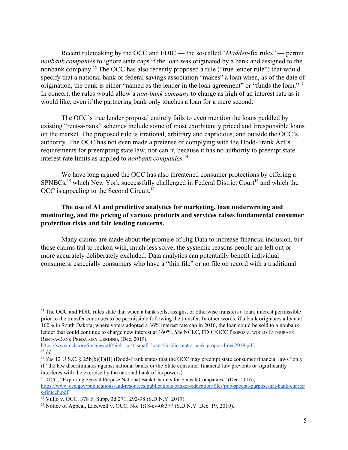Recent rulemaking by the OCC and FDIC — the so-called "*Madden*-fix rules" — permit *nonbank companies* to ignore state caps if the loan was originated by a bank and assigned to the nonbank company.<sup>12</sup> The OCC has also recently proposed a rule ("true lender rule") that would specify that a national bank or federal savings association "makes" a loan when, as of the date of origination, the bank is either "named as the lender in the loan agreement" or "funds the loan."<sup>13</sup> In concert, the rules would allow a *non-bank company* to charge as high of an interest rate as it would like, even if the partnering bank only touches a loan for a mere second.

The OCC's true lender proposal entirely fails to even mention the loans peddled by existing "rent-a-bank" schemes include some of most exorbitantly priced and irresponsible loans on the market. The proposed rule is irrational, arbitrary and capricious, and outside the OCC's authority. The OCC has not even made a pretense of complying with the Dodd-Frank Act's requirements for preempting state law, nor can it, because it has no authority to preempt state interest rate limits as applied to *nonbank companies.*<sup>14</sup>

We have long argued the OCC has also threatened consumer protections by offering a  $SPNBCs$ <sup>15</sup> which New York successfully challenged in Federal District Court<sup>16</sup> and which the OCC is appealing to the Second Circuit.<sup>17</sup>

# **The use of AI and predictive analytics for marketing, loan underwriting and monitoring, and the pricing of various products and services raises fundamental consumer protection risks and fair lending concerns.**

Many claims are made about the promise of Big Data to increase financial inclusion, but those claims fail to reckon with, much less solve, the systemic reasons people are left out or more accurately deliberately excluded. Data analytics can potentially benefit individual consumers, especially consumers who have a "thin file" or no file on record with a traditional

<sup>&</sup>lt;sup>12</sup> The OCC and FDIC rules state that when a bank sells, assigns, or otherwise transfers a loan, interest permissible prior to the transfer continues to be permissible following the transfer. In other words, if a bank originates a loan at 160% in South Dakota, where voters adopted a 36% interest rate cap in 2016, the loan could be sold to a nonbank lender that could continue to charge new interest at 160%. *See* NCLC, FDIC/OCC PROPOSAL WOULD ENCOURAGE RENT-A-BANK PREDATORY LENDING, (Dec. 2019),

[https://www.nclc.org/images/pdf/high\\_cost\\_small\\_loans/ib-fdic-rent-a-bank-proposal-dec2019.pdf.](https://www.nclc.org/images/pdf/high_cost_small_loans/ib-fdic-rent-a-bank-proposal-dec2019.pdf)  $\overline{13}$   $\overline{1d}$ 

<sup>&</sup>lt;sup>14</sup> *See* 12 U.S.C. § 25b(b)(1)(B) (Dodd-Frank states that the OCC may preempt state consumer financial laws "only if" the law discriminates against national banks or the State consumer financial law prevents or significantly interferes with the exercise by the national bank of its powers).

<sup>&</sup>lt;sup>15</sup> OCC, "Exploring Special Purpose National Bank Charters for Fintech Companies," (Dec. 2016), [https://www.occ.gov/publications-and-resources/publications/banker-education/files/pub-special-purpose-nat-bank-charter](https://www.occ.gov/publications-and-resources/publications/banker-education/files/pub-special-purpose-nat-bank-charters-fintech.pdf) [s-fintech.pdf](https://www.occ.gov/publications-and-resources/publications/banker-education/files/pub-special-purpose-nat-bank-charters-fintech.pdf).

<sup>16</sup> Vullo v. OCC, 378 F. Supp. 3d 271, 292-98 (S.D.N.Y. 2019).

<sup>&</sup>lt;sup>17</sup> Notice of Appeal, Lacewell v. OCC, No. 1:18-cv-08377 (S.D.N.Y. Dec. 19, 2019).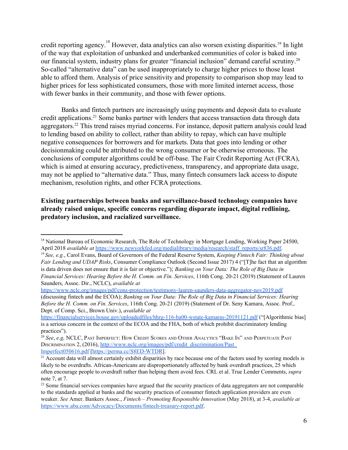credit reporting agency.<sup>18</sup> However, data analytics can also worsen existing disparities.<sup>19</sup> In light of the way that exploitation of unbanked and underbanked communities of color is baked into our financial system, industry plans for greater "financial inclusion" demand careful scrutiny.<sup>20</sup> So-called "alternative data" can be used inappropriately to charge higher prices to those least able to afford them. Analysis of price sensitivity and propensity to comparison shop may lead to higher prices for less sophisticated consumers, those with more limited internet access, those with fewer banks in their community, and those with fewer options.

Banks and fintech partners are increasingly using payments and deposit data to evaluate credit applications.<sup>21</sup> Some banks partner with lenders that access transaction data through data aggregators.<sup>22</sup> This trend raises myriad concerns. For instance, deposit pattern analysis could lead to lending based on ability to collect, rather than ability to repay, which can have multiple negative consequences for borrowers and for markets. Data that goes into lending or other decisionmaking could be attributed to the wrong consumer or be otherwise erroneous. The conclusions of computer algorithms could be off-base. The Fair Credit Reporting Act (FCRA), which is aimed at ensuring accuracy, predictiveness, transparency, and appropriate data usage, may not be applied to "alternative data." Thus, many fintech consumers lack access to dispute mechanism, resolution rights, and other FCRA protections.

**Existing partnerships between banks and surveillance-based technology companies have already raised unique, specific concerns regarding disparate impact, digital redlining, predatory inclusion, and racialized surveillance.**

<sup>&</sup>lt;sup>18</sup> National Bureau of Economic Research, The Role of Technology in Mortgage Lending, Working Paper 24500, April 2018 *available at* [https://www.newyorkfed.org/medialibrary/media/research/staff\\_reports/sr836.pdf.](https://www.newyorkfed.org/medialibrary/media/research/staff_reports/sr836.pdf)

<sup>19</sup> *See, e.g.*, Carol Evans, Board of Governors of the Federal Reserve System, *Keeping Fintech Fair: Thinking about Fair Lending and UDAP Risks*, Consumer Compliance Outlook (Second Issue 2017) 4 ("[T]he fact that an algorithm is data driven does not ensure that it is fair or objective."); *Banking on Your Data: The Role of Big Data in Financial Services: Hearing Before the H. Comm. on Fin. Services*, 116th Cong. 20-21 (2019) (Statement of Lauren Saunders, Assoc. Dir., NCLC), *available at*

<https://www.nclc.org/images/pdf/cons-protection/testimony-lauren-saunders-data-aggregator-nov2019.pdf> (discussing fintech and the ECOA); *Banking on Your Data: The Role of Big Data in Financial Services: Hearing Before the H. Comm. on Fin. Services*, 116th Cong. 20-21 (2019) (Statement of Dr. Seny Kamara, Assoc. Prof., Dept. of Comp. Sci., Brown Univ.), *available at*

<https://financialservices.house.gov/uploadedfiles/hhrg-116-ba00-wstate-kamaras-20191121.pdf> ("[Algorithmic bias] is a serious concern in the context of the ECOA and the FHA, both of which prohibit discriminatory lending practices").

<sup>&</sup>lt;sup>20</sup> See, e.g, NCLC, Past Imperfect: How Credit Scores and Other Analytics "Bake In" and Perpetuate Past DISCRIMINATION 2, (2016), http://www.nclc.org/images/pdf/credit\_discrimination/Past [Imperfect050616.pdf](http://www.nclc.org/images/pdf/credit_discrimination/Past_Imperfect050616.pdf) [<https://perma.cc/S8ED-WTDR>].

 $21$  Account data will almost certainly exhibit disparities by race because one of the factors used by scoring models is likely to be overdrafts. African-Americans are disproportionately affected by bank overdraft practices, 25 which often encourage people to overdraft rather than helping them avoid fees. CRL et al. True Lender Comments, *supra* note 7, at 7.

<sup>&</sup>lt;sup>22</sup> Some financial services companies have argued that the security practices of data aggregators are not comparable to the standards applied at banks and the security practices of consumer fintech application providers are even weaker. *See* Amer. Bankers Assoc., *Fintech – Promoting Responsible Innovation* (May 2018), at 3-4, *available at* <https://www.aba.com/Advocacy/Documents/fintech-treasury-report.pdf>.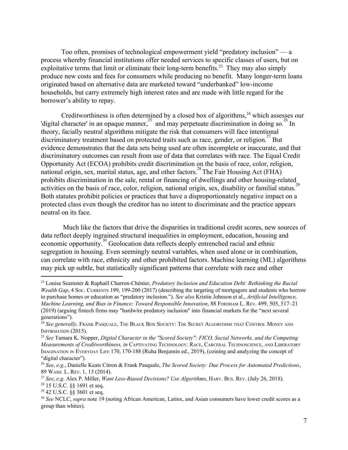Too often, promises of technological empowerment yield "predatory inclusion" — a process whereby financial institutions offer needed services to specific classes of users, but on exploitative terms that limit or eliminate their long-term benefits.<sup>23</sup> They may also simply produce new costs and fees for consumers while producing no benefit. Many longer-term loans originated based on alternative data are marketed toward "underbanked" low-income households, but carry extremely high interest rates and are made with little regard for the borrower's ability to repay.

Creditworthiness is often determined by a closed box of algorithms, $24$  which assesses our 'digital character' in an opaque manner,  $25$  and may perpetuate discrimination in doing so. <sup>26</sup> In theory, facially neutral algorithms mitigate the risk that consumers will face intentional discriminatory treatment based on protected traits such as race, gender, or religion.<sup>27</sup> But evidence demonstrates that the data sets being used are often incomplete or inaccurate, and that discriminatory outcomes can result from use of data that correlates with race. The Equal Credit Opportunity Act (ECOA) prohibits credit discrimination on the basis of race, color, religion, national origin, sex, marital status, age, and other factors.<sup>28</sup> The Fair Housing Act (FHA) prohibits discrimination in the sale, rental or financing of dwellings and other housing-related activities on the basis of race, color, religion, national origin, sex, disability or familial status.<sup>2</sup> Both statutes prohibit policies or practices that have a disproportionately negative impact on a protected class even though the creditor has no intent to discriminate and the practice appears neutral on its face.

 Much like the factors that drive the disparities in traditional credit scores, new sources of data reflect deeply ingrained structural inequalities in employment, education, housing and economic opportunity.<sup>30</sup> Geolocation data reflects deeply entrenched racial and ethnic segregation in housing. Even seemingly neutral variables, when used alone or in combination, can correlate with race, ethnicity and other prohibited factors. Machine learning (ML) algorithms may pick up subtle, but statistically significant patterns that correlate with race and other

<sup>23</sup> Louise Seamster & Raphaël Charron-Chénier, *Predatory Inclusion and Education Debt: Rethinking the Racial Wealth Gap*, 4 SOC. CURRENTS 199, 199-200 (2017) (describing the targeting of mortgagors and students who borrow to purchase homes or education as "predatory inclusion."). *See also* Kristin Johnson et al., *Artificial Intelligence, Machine Learning, and Bias in Finance: Toward Responsible Innovation*, 88 FORDHAM L. REV. 499, 505, 517–21 (2019) (arguing fintech firms may "hardwire predatory inclusion" into financial markets for the "next several generations").

<sup>24</sup> *See generally,* FRANK PASQUALE, THE BLACK BOX SOCIETY: THE SECRET ALGORITHMS THAT CONTROL MONEY AND INFORMATION (2015).

<sup>25</sup> *See* Tamara K. Nopper, *Digital Character in the "Scored Society": FICO, Social Networks, and the Competing Measurements of Creditworthiness, in* CAPTIVATING TECHNOLOGY: RACE, CARCERAL TECHNOSCIENCE, AND LIBERATORY IMAGINATION IN EVERYDAY LIFE 170, 170-188 (Ruha Benjamin ed., 2019), (coining and analyzing the concept of "digital character").

<sup>26</sup> *See*, *e.g.*, Danielle Keats Citron & Frank Pasquale, *The Scored Society: Due Process for Automated Predictions*, 89 WASH. L. REV. 1, 13 (2014).

<sup>27</sup> *See*, *e.g.* Alex P. Miller, *Want Less-Biased Decisions? Use Algorithms*, HARV. BUS. REV. (July 26, 2018).

<sup>28</sup> 15 U.S.C. §§ 1691 et seq.

<sup>29</sup> 42 U.S.C. §§ 3601 et seq.

<sup>30</sup> *See* NCLC, *supra* note 19 (noting African American, Latinx, and Asian consumers have lower credit scores as a group than whites).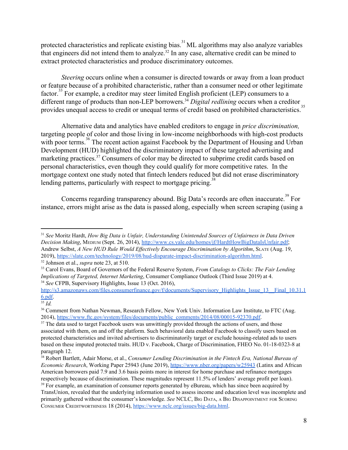protected characteristics and replicate existing bias.<sup>31</sup> ML algorithms may also analyze variables that engineers did not intend them to analyze.<sup>32</sup> In any case, alternative credit can be mined to extract protected characteristics and produce discriminatory outcomes.

*Steering occurs online when a consumer is directed towards or away from a loan product* or feature because of a prohibited characteristic, rather than a consumer need or other legitimate factor.<sup>33</sup> For example, a creditor may steer limited English proficient (LEP) consumers to a different range of products than non-LEP borrowers.<sup>34</sup> Digital redlining occurs when a creditor provides unequal access to credit or unequal terms of credit based on prohibited characteristics.<sup>3</sup>

Alternative data and analytics have enabled creditors to engage in *price discrimination,* targeting people of color and those living in low-income neighborhoods with high-cost products with poor terms.<sup>36</sup> The recent action against Facebook by the Department of Housing and Urban Development (HUD) highlighted the discriminatory impact of these targeted advertising and marketing practices.<sup>37</sup> Consumers of color may be directed to subprime credit cards based on personal characteristics, even though they could qualify for more competitive rates. In the mortgage context one study noted that fintech lenders reduced but did not erase discriminatory lending patterns, particularly with respect to mortgage pricing.<sup>3</sup>

Concerns regarding transparency abound. Big Data's records are often inaccurate.<sup>39</sup> For instance, errors might arise as the data is passed along, especially when screen scraping (using a

<sup>32</sup> Johnson et al., *supra* note 23, at 510.

<sup>31</sup> *See* Moritz Hardt, *How Big Data is Unfair, Understanding Unintended Sources of Unfairness in Data Driven Decision Making*, MEDIUM (Sept. 26, 2014), [http://www.cs.yale.edu/homes/jf/HardtHowBigDataIsUnfair.pdf;](http://www.cs.yale.edu/homes/jf/HardtHowBigDataIsUnfair.pdf) Andrew Selbst, *A New HUD Rule Would Ef ectively Encourage Discrimination by Algorithm*, SLATE (Aug. 19, 2019), <https://slate.com/technology/2019/08/hud-disparate-impact-discrimination-algorithm.html>.

<sup>33</sup> Carol Evans, Board of Governors of the Federal Reserve System, *From Catalogs to Clicks: The Fair Lending Implications of Targeted, Internet Marketing*, Consumer Compliance Outlook (Third Issue 2019) at 4. <sup>34</sup> *See* CFPB, Supervisory Highlights, Issue 13 (Oct. 2016),

[http://s3.amazonaws.com/files.consumerfinance.gov/f/documents/Supervisory\\_Highlights\\_Issue\\_13\\_\\_Final\\_10.31.1](http://s3.amazonaws.com/files.consumerfinance.gov/f/documents/Supervisory_Highlights_Issue_13__Final_10.31.16.pdf) [6.pdf.](http://s3.amazonaws.com/files.consumerfinance.gov/f/documents/Supervisory_Highlights_Issue_13__Final_10.31.16.pdf)

 $\overline{\frac{35}{}}$ *Id.* 

<sup>&</sup>lt;sup>36</sup> Comment from Nathan Newman, Research Fellow, New York Univ. Information Law Institute, to FTC (Aug. 2014), [https://www.ftc.gov/system/files/documents/public\\_comments/2014/08/00015-92370.pdf](https://www.ftc.gov/system/files/documents/public_comments/2014/08/00015-92370.pdf).

<sup>&</sup>lt;sup>37</sup> The data used to target Facebook users was unwittingly provided through the actions of users, and those associated with them, on and off the platform. Such behavioral data enabled Facebook to classify users based on protected characteristics and invited advertisers to discriminatorily target or exclude housing-related ads to users based on these imputed protected traits. HUD v. Facebook, Charge of Discrimination, FHEO No. 01-18-0323-8 at paragraph 12.

<sup>38</sup> Robert Bartlett, Adair Morse, et al., *Consumer Lending Discrimination in the Fintech Era, National Bureau of Economic Research*, Working Paper 25943 (June 2019), <https://www.nber.org/papers/w25943> (Latinx and African American borrowers paid 7.9 and 3.6 basis points more in interest for home purchase and refinance mortgages respectively because of discrimination. These magnitudes represent 11.5% of lenders' average profit per loan).

<sup>&</sup>lt;sup>39</sup> For example, an examination of consumer reports generated by eBureau, which has since been acquired by TransUnion, revealed that the underlying information used to assess income and education level was incomplete and primarily gathered without the consumer's knowledge. *See* NCLC, BIG DATA, <sup>A</sup> BIG DISAPPOINTMENT FOR SCORING CONSUMER CREDITWORTHINESS 18 (2014), [https://www.nclc.org/issues/big-data.html.](https://www.nclc.org/issues/big-data.html)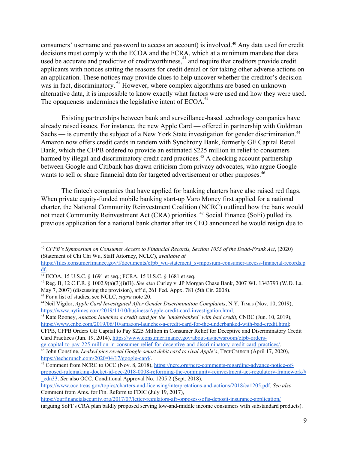consumers' username and password to access an account) is involved.<sup>40</sup> Any data used for credit decisions must comply with the ECOA and the FCRA, which at a minimum mandate that data used be accurate and predictive of creditworthiness, $\frac{41}{1}$  and require that creditors provide credit applicants with notices stating the reasons for credit denial or for taking other adverse actions on an application. These notices may provide clues to help uncover whether the creditor's decision was in fact, discriminatory.<sup>42</sup> However, where complex algorithms are based on unknown alternative data, it is impossible to know exactly what factors were used and how they were used. The opaqueness undermines the legislative intent of ECOA.<sup>4</sup>

Existing partnerships between bank and surveillance-based technology companies have already raised issues. For instance, the new Apple Card — offered in partnership with Goldman Sachs — is currently the subject of a New York State investigation for gender discrimination.<sup>44</sup> Amazon now offers credit cards in tandem with Synchrony Bank, formerly GE Capital Retail Bank, which the CFPB ordered to provide an estimated \$225 million in relief to consumers harmed by illegal and discriminatory credit card practices.<sup>45</sup> A checking account partnership between Google and Citibank has drawn criticism from privacy advocates, who argue Google wants to sell or share financial data for targeted advertisement or other purposes.<sup>46</sup>

The fintech companies that have applied for banking charters have also raised red flags. When private equity-funded mobile banking start-up Varo Money first applied for a national charter, the National Community Reinvestment Coalition (NCRC) outlined how the bank would not meet Community Reinvestment Act (CRA) priorities. <sup>47</sup> Social Finance (SoFi) pulled its previous application for a national bank charter after its CEO announced he would resign due to

<sup>45</sup> Kate Rooney, *Amazon launches a credit card for the 'underbanked' with bad credit,* CNBC (Jun. 10, 2019), <https://www.cnbc.com/2019/06/10/amazon-launches-a-credit-card-for-the-underbanked-with-bad-credit.html>;

CFPB, CFPB Orders GE Capital to Pay \$225 Million in Consumer Relief for Deceptive and Discriminatory Credit Card Practices (Jun. 19, 2014), [https://www.consumerfinance.gov/about-us/newsroom/cfpb-orders](https://www.consumerfinance.gov/about-us/newsroom/cfpb-orders-ge-capital-to-pay-225-million-in-consumer-relief-for-deceptive-and-discriminatory-credit-card-practices/)[ge-capital-to-pay-225-million-in-consumer-relief-for-deceptive-and-discriminatory-credit-card-practices/.](https://www.consumerfinance.gov/about-us/newsroom/cfpb-orders-ge-capital-to-pay-225-million-in-consumer-relief-for-deceptive-and-discriminatory-credit-card-practices/)

<https://ourfinancialsecurity.org/2017/07/letter-regulators-afr-opposes-sofis-deposit-insurance-application/> (arguing SoFI's CRA plan baldly proposed serving low-and-middle income consumers with substandard products).

<sup>40</sup> *CFPB's Symposium on Consumer Access to Financial Records, Section 1033 of the Dodd-Frank Act*, (2020) (Statement of Chi Chi Wu, Staff Attorney, NCLC), *available at*

[https://files.consumerfinance.gov/f/documents/cfpb\\_wu-statement\\_symposium-consumer-access-financial-records.p](https://files.consumerfinance.gov/f/documents/cfpb_wu-statement_symposium-consumer-access-financial-records.pdf) [df](https://files.consumerfinance.gov/f/documents/cfpb_wu-statement_symposium-consumer-access-financial-records.pdf).

<sup>41</sup> ECOA, 15 U.S.C. § 1691 et seq.; FCRA, 15 U.S.C. § 1681 et seq.

<sup>42</sup> Reg. B, 12 C.F.R. § 1002.9(a)(3)(i)(B). *See also* Curley v. JP Morgan Chase Bank, 2007 WL 1343793 (W.D. La. May 7, 2007) (discussing the provision), aff'd, 261 Fed. Appx. 781 (5th Cir. 2008).

<sup>43</sup> For a list of studies, see NCLC, *supra* note 20.

<sup>44</sup> Neil Vigdor, *Apple Card Investigated After Gender Discrimination Complaints*, N.Y. TIMES (Nov. 10, 2019), [https://www.nytimes.com/2019/11/10/business/Apple-credit-card-investigation.html.](https://www.nytimes.com/2019/11/10/business/Apple-credit-card-investigation.html)

<sup>46</sup> John Constine, *Leaked pics reveal Google smart debit card to rival Apple's*, TECHCRUNCH (April 17, 2020), [https://techcrunch.com/2020/04/17/google-card/.](https://techcrunch.com/2020/04/17/google-card/)

<sup>&</sup>lt;sup>47</sup> Comment from NCRC to OCC (Nov. 8, 2018), [https://ncrc.org/ncrc-comments-regarding-advance-notice-of](https://ncrc.org/ncrc-comments-regarding-advance-notice-of-proposed-rulemaking-docket-id-occ-2018-0008-reforming-the-community-reinvestment-act-regulatory-framework/#_edn33)[proposed-rulemaking-docket-id-occ-2018-0008-reforming-the-community-reinvestment-act-regulatory-framework/#](https://ncrc.org/ncrc-comments-regarding-advance-notice-of-proposed-rulemaking-docket-id-occ-2018-0008-reforming-the-community-reinvestment-act-regulatory-framework/#_edn33) [\\_edn33](https://ncrc.org/ncrc-comments-regarding-advance-notice-of-proposed-rulemaking-docket-id-occ-2018-0008-reforming-the-community-reinvestment-act-regulatory-framework/#_edn33). *See* also OCC, Conditional Approval No. 1205 2 (Sept. 2018),

<https://www.occ.treas.gov/topics/charters-and-licensing/interpretations-and-actions/2018/ca1205.pdf>. *See also* Comment from Ams. for Fin. Reform to FDIC (July 19, 2017),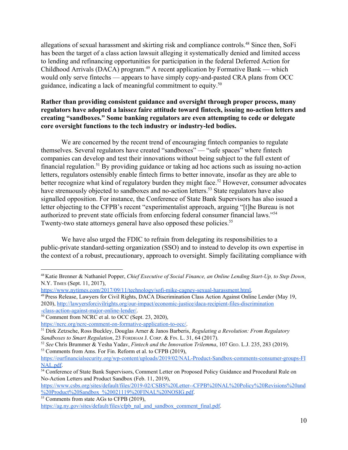allegations of sexual harassment and skirting risk and compliance controls.<sup>48</sup> Since then, SoFi has been the target of a class action lawsuit alleging it systematically denied and limited access to lending and refinancing opportunities for participation in the federal Deferred Action for Childhood Arrivals (DACA) program.<sup> $49$ </sup> A recent application by Formative Bank — which would only serve fintechs — appears to have simply copy-and-pasted CRA plans from OCC guidance, indicating a lack of meaningful commitment to equity.<sup>50</sup>

# **Rather than providing consistent guidance and oversight through proper process, many regulators have adopted a laissez faire attitude toward fintech, issuing no-action letters and creating "sandboxes." Some banking regulators are even attempting to cede or delegate core oversight functions to the tech industry or industry-led bodies.**

We are concerned by the recent trend of encouraging fintech companies to regulate themselves. Several regulators have created "sandboxes" — "safe spaces" where fintech companies can develop and test their innovations without being subject to the full extent of financial regulation.<sup>51</sup> By providing guidance or taking ad hoc actions such as issuing no-action letters, regulators ostensibly enable fintech firms to better innovate, insofar as they are able to better recognize what kind of regulatory burden they might face.<sup>52</sup> However, consumer advocates have strenuously objected to sandboxes and no-action letters.<sup>53</sup> State regulators have also signalled opposition. For instance, the Conference of State Bank Supervisors has also issued a letter objecting to the CFPB's recent "experimentalist approach, arguing "[t]he Bureau is not authorized to prevent state officials from enforcing federal consumer financial laws."<sup>54</sup> Twenty-two state attorneys general have also opposed these policies.<sup>55</sup>

We have also urged the FDIC to refrain from delegating its responsibilities to a public-private standard-setting organization (SSO) and to instead to develop its own expertise in the context of a robust, precautionary, approach to oversight. Simply facilitating compliance with

[https://www.csbs.org/sites/default/files/2019-02/CSBS%20Letter--CFPB%20NAL%20Policy%20Revisions%20and](https://www.csbs.org/sites/default/files/2019-02/CSBS%20Letter--CFPB%20NAL%20Policy%20Revisions%20and%20Product%20Sandbox_%20021119%20FINAL%20NOSIG.pdf) [%20Product%20Sandbox\\_%20021119%20FINAL%20NOSIG.pdf](https://www.csbs.org/sites/default/files/2019-02/CSBS%20Letter--CFPB%20NAL%20Policy%20Revisions%20and%20Product%20Sandbox_%20021119%20FINAL%20NOSIG.pdf).

<sup>55</sup> Comments from state  $\overline{AGs}$  to CFPB (2019),

<sup>48</sup> Katie Brenner & Nathaniel Popper, *Chief Executive of Social Finance, an Online Lending Start-Up, to Step Down*, N.Y. TIMES (Sept. 11, 2017),

[https://www.nytimes.com/2017/09/11/technology/sofi-mike-cagney-sexual-harassment.html.](https://www.nytimes.com/2017/09/11/technology/sofi-mike-cagney-sexual-harassment.html)

<sup>49</sup> Press Release, Lawyers for Civil Rights, DACA Discrimination Class Action Against Online Lender (May 19, 2020), [http://lawyersforcivilrights.org/our-impact/economic-justice/daca-recipient-files-discrimination](http://lawyersforcivilrights.org/our-impact/economic-justice/daca-recipient-files-discrimination-class-action-against-major-online-lender/) [-class-action-against-major-online-lender/](http://lawyersforcivilrights.org/our-impact/economic-justice/daca-recipient-files-discrimination-class-action-against-major-online-lender/).

<sup>50</sup> Comment from NCRC et al. to OCC (Sept. 23, 2020),

[https://ncrc.org/ncrc-comment-on-formative-application-to-occ/.](https://ncrc.org/ncrc-comment-on-formative-application-to-occ/)

<sup>51</sup> Dirk Zetzsche, Ross Buckley, Douglas Arner & Janos Barberis, *Regulating a Revolution: From Regulatory Sandboxes to Smart Regulation*, 23 FORDHAM J. CORP. & FIN. L. 31, 64 (2017).

<sup>52</sup> *See* Chris Brummer & Yesha Yadav, *Fintech and the Innovation Trilemma*, 107 GEO. L.J. 235, 283 (2019).

<sup>&</sup>lt;sup>53</sup> Comments from Ams. For Fin. Reform et al. to CFPB (2019).

[https://ourfinancialsecurity.org/wp-content/uploads/2019/02/NAL-Product-Sandbox-comments-consumer-groups-FI](https://ourfinancialsecurity.org/wp-content/uploads/2019/02/NAL-Product-Sandbox-comments-consumer-groups-FINAL.pdf) [NAL.pdf](https://ourfinancialsecurity.org/wp-content/uploads/2019/02/NAL-Product-Sandbox-comments-consumer-groups-FINAL.pdf).

<sup>54</sup> Conference of State Bank Supervisors, Comment Letter on Proposed Policy Guidance and Procedural Rule on No-Action Letters and Product Sandbox (Feb. 11, 2019),

[https://ag.ny.gov/sites/default/files/cfpb\\_nal\\_and\\_sandbox\\_comment\\_final.pdf](https://ag.ny.gov/sites/default/files/cfpb_nal_and_sandbox_comment_final.pdf).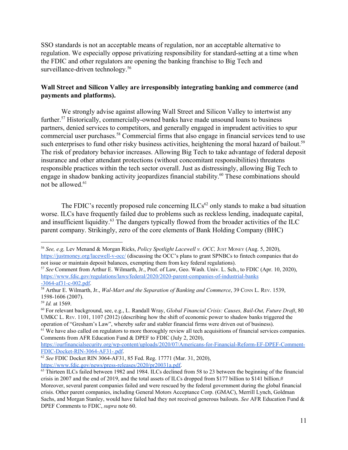SSO standards is not an acceptable means of regulation, nor an acceptable alternative to regulation. We especially oppose privatizing responsibility for standard-setting at a time when the FDIC and other regulators are opening the banking franchise to Big Tech and surveillance-driven technology.<sup>56</sup>

### **Wall Street and Silicon Valley are irresponsibly integrating banking and commerce (and payments and platforms).**

We strongly advise against allowing Wall Street and Silicon Valley to intertwist any further.<sup>57</sup> Historically, commercially-owned banks have made unsound loans to business partners, denied services to competitors, and generally engaged in imprudent activities to spur commercial user purchases.<sup>58</sup> Commercial firms that also engage in financial services tend to use such enterprises to fund other risky business activities, heightening the moral hazard of bailout.<sup>59</sup> The risk of predatory behavior increases. Allowing Big Tech to take advantage of federal deposit insurance and other attendant protections (without concomitant responsibilities) threatens responsible practices within the tech sector overall. Just as distressingly, allowing Big Tech to engage in shadow banking activity jeopardizes financial stability.<sup>60</sup> These combinations should not be allowed.<sup>61</sup>

The FDIC's recently proposed rule concerning  $ILCs^{62}$  only stands to make a bad situation worse. ILCs have frequently failed due to problems such as reckless lending, inadequate capital, and insufficient liquidity.<sup>63</sup> The dangers typically flowed from the broader activities of the ILC parent company. Strikingly, zero of the core elements of Bank Holding Company (BHC)

<sup>56</sup> *See, e.g,* Lev Menand & Morgan Ricks, *Policy Spotlight Lacewell v. OCC,* JUST MONEY (Aug. 5, 2020), <https://justmoney.org/lacewell-v-occ/> (discussing the OCC's plans to grant SPNBCs to fintech companies that do not issue or maintain deposit balances, exempting them from key federal regulations).

<sup>57</sup> *See* Comment from Arthur E. Wilmarth, Jr., Prof. of Law, Geo. Wash. Univ. L. Sch., to FDIC (Apr. 10, 2020), [https://www.fdic.gov/regulations/laws/federal/2020/2020-parent-companies-of-industrial-banks](https://www.fdic.gov/regulations/laws/federal/2020/2020-parent-companies-of-industrial-banks-3064-af31-c-002.pdf) [-3064-af31-c-002.pdf](https://www.fdic.gov/regulations/laws/federal/2020/2020-parent-companies-of-industrial-banks-3064-af31-c-002.pdf).

<sup>58</sup> Arthur E. Wilmarth, Jr., *Wal-Mart and the Separation of Banking and Commerce*, 39 CONN L. REV. 1539, 1598-1606 (2007).

<sup>59</sup> *Id.* at 1569.

<sup>60</sup> For relevant background, see, e.g., L. Randall Wray, *Global Financial Crisis: Causes, Bail-Out, Future Draft*, 80 UMKC L. REV. 1101, 1107 (2012) (describing how the shift of economic power to shadow banks triggered the operation of "Gresham's Law", whereby safer and stabler financial firms were driven out of business).

 $<sup>61</sup>$  We have also called on regulators to more thoroughly review all tech acquisitions of financial services companies.</sup> Comments from AFR Education Fund & DPEF to FDIC (July 2, 2020),

[https://ourfinancialsecurity.org/wp-content/uploads/2020/07/Americans-for-Financial-Reform-EF-DPEF-Comment-](https://ourfinancialsecurity.org/wp-content/uploads/2020/07/Americans-for-Financial-Reform-EF-DPEF-Comment-FDIC-Docket-RIN-3064-AF31-.pdf)[FDIC-Docket-RIN-3064-AF31-.pdf](https://ourfinancialsecurity.org/wp-content/uploads/2020/07/Americans-for-Financial-Reform-EF-DPEF-Comment-FDIC-Docket-RIN-3064-AF31-.pdf).

<sup>62</sup> *See* FDIC Docket RIN 3064-AF31, 85 Fed. Reg. 17771 (Mar. 31, 2020),

<https://www.fdic.gov/news/press-releases/2020/pr20031a.pdf>.

<sup>&</sup>lt;sup>63</sup> Thirteen ILCs failed between 1982 and 1984. ILCs declined from 58 to 23 between the beginning of the financial crisis in 2007 and the end of 2019, and the total assets of ILCs dropped from \$177 billion to \$141 billion.# Moreover, several parent companies failed and were rescued by the federal government during the global financial crisis. Other parent companies, including General Motors Acceptance Corp. (GMAC), Merrill Lynch, Goldman Sachs, and Morgan Stanley, would have failed had they not received generous bailouts. *See* AFR Education Fund & DPEF Comments to FDIC, *supra* note 60.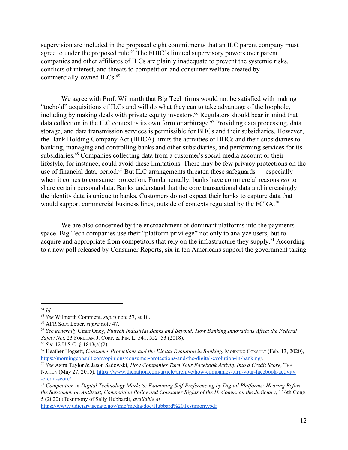supervision are included in the proposed eight commitments that an ILC parent company must agree to under the proposed rule.<sup> $64$ </sup> The FDIC's limited supervisory powers over parent companies and other affiliates of ILCs are plainly inadequate to prevent the systemic risks, conflicts of interest, and threats to competition and consumer welfare created by commercially-owned ILCs.<sup>65</sup>

We agree with Prof. Wilmarth that Big Tech firms would not be satisfied with making "toehold" acquisitions of ILCs and will do what they can to take advantage of the loophole, including by making deals with private equity investors.<sup> $66$ </sup> Regulators should bear in mind that data collection in the ILC context is its own form or arbitrage.<sup> $67$ </sup> Providing data processing, data storage, and data transmission services is permissible for BHCs and their subsidiaries. However, the Bank Holding Company Act (BHCA) limits the activities of BHCs and their subsidiaries to banking, managing and controlling banks and other subsidiaries, and performing services for its subsidiaries.<sup>68</sup> Companies collecting data from a customer's social media account or their lifestyle, for instance, could avoid these limitations. There may be few privacy protections on the use of financial data, period.<sup>69</sup> But ILC arrangements threaten these safeguards — especially when it comes to consumer protection. Fundamentally, banks have commercial reasons *not* to share certain personal data. Banks understand that the core transactional data and increasingly the identity data is unique to banks. Customers do not expect their banks to capture data that would support commercial business lines, outside of contexts regulated by the FCRA.<sup>70</sup>

We are also concerned by the encroachment of dominant platforms into the payments space. Big Tech companies use their "platform privilege" not only to analyze users, but to acquire and appropriate from competitors that rely on the infrastructure they supply.<sup>71</sup> According to a new poll released by Consumer Reports, six in ten Americans support the government taking

<https://www.judiciary.senate.gov/imo/media/doc/Hubbard%20Testimony.pdf>

<sup>64</sup> *Id.*

<sup>65</sup> *See* Wilmarth Comment, *supra* note 57, at 10.

<sup>66</sup> AFR SoFi Letter*, supra* note 47.

<sup>67</sup> *See generally* Cinar Oney, *Fintech Industrial Banks and Beyond: How Banking Innovations Af ect the Federal Safety Net*, 23 FORDHAM J. CORP. & FIN. L. 541, 552–53 (2018).

<sup>68</sup> *See* 12 U.S.C. § 1843(a)(2).

<sup>69</sup> Heather Hogsett, *Consumer Protections and the Digital Evolution in Banking*, MORNING CONSULT (Feb. 13, 2020), <https://morningconsult.com/opinions/consumer-protections-and-the-digital-evolution-in-banking/>.

<sup>70</sup> *See* Astra Taylor & Jason Sadowski, *How Companies Turn Your Facebook Activity Into a Credit Score*, THE NATION (May 27, 2015), [https://www.thenation.com/article/archive/how-companies-turn-your-facebook-activity](https://www.thenation.com/article/archive/how-companies-turn-your-facebook-activity-credit-score/) [-credit-score/](https://www.thenation.com/article/archive/how-companies-turn-your-facebook-activity-credit-score/).

<sup>71</sup> *Competition in Digital Technology Markets: Examining Self-Preferencing by Digital Platforms: Hearing Before the Subcomm. on Antitrust, Competition Policy and Consumer Rights of the H. Comm. on the Judiciary*, 116th Cong. 5 (2020) (Testimony of Sally Hubbard), *available at*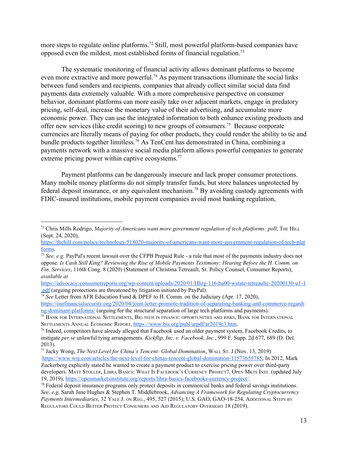more steps to regulate online platforms.<sup>72</sup> Still, most powerful platform-based companies have opposed even the mildest, most established forms of financial regulation.<sup>73</sup>

The systematic monitoring of financial activity allows dominant platforms to become even more extractive and more powerful.<sup>74</sup> As payment transactions illuminate the social links between fund senders and recipients, companies that already collect similar social data find payments data extremely valuable. With a more comprehensive perspective on consumer behavior, dominant platforms can more easily take over adjacent markets, engage in predatory pricing, self-deal, increase the monetary value of their advertising, and accumulate more economic power. They can use the integrated information to both enhance existing products and offer new services (like credit scoring) to new groups of consumers.<sup>75</sup> Because corporate currencies are literally means of paying for other products, they could render the ability to tie and bundle products together limitless.<sup>76</sup> As TenCent has demonstrated in China, combining a payments network with a massive social media platform allows powerful companies to generate extreme pricing power within captive ecosystems.<sup>77</sup>

Payment platforms can be dangerously insecure and lack proper consumer protections. Many mobile money platforms do not simply transfer funds, but store balances unprotected by federal deposit insurance, or any equivalent mechanism.<sup>78</sup> By avoiding custody agreements with FDIC-insured institutions, mobile payment companies avoid most banking regulation,

<sup>74</sup> *See* Letter from AFR Education Fund & DPEF to H. Comm. on the Judiciary (Apr. 17, 2020),

[https://ourfinancialsecurity.org/2020/04/joint-letter-promote-tradition-of-separating-banking-and-commerce-regardi](https://ourfinancialsecurity.org/2020/04/joint-letter-promote-tradition-of-separating-banking-and-commerce-regarding-dominant-platforms/) [ng-dominant-platforms/](https://ourfinancialsecurity.org/2020/04/joint-letter-promote-tradition-of-separating-banking-and-commerce-regarding-dominant-platforms/) (arguing for the structural separation of large tech platforms and payments).

<sup>75</sup> BANK FOR INTERNATIONAL SETTLEMENTS, BIG TECH IN FINANCE: OPPORTUNITIES AND RISKS, BANK FOR INTERNATIONAL SETTLEMENTS ANNUAL ECONOMIC REPORT, [https://www.bis.org/publ/arpdf/ar2019e3.htm.](https://www.bis.org/publ/arpdf/ar2019e3.htm)

<sup>72</sup> Chris Mills Rodrigo, *Majority of Americans want more government regulation of tech platforms: poll*, THE HILL (Sept. 24, 2020),

[https://thehill.com/policy/technology/518020-majority-of-americans-want-more-government-regulation-of-tech-plat](https://thehill.com/policy/technology/518020-majority-of-americans-want-more-government-regulation-of-tech-platforms) [forms](https://thehill.com/policy/technology/518020-majority-of-americans-want-more-government-regulation-of-tech-platforms).

<sup>73</sup> *See, e.g.* PayPal's recent lawsuit over the CFPB Prepaid Rule - a rule that most of the payments industry does not oppose. Is Cash Still King? Reviewing the Rise of Mobile Payments Testimony: Hearing Before the H. Comm. on *Fin. Services*, 116th Cong. 8 (2020) (Statement of Christina Tetreault, Sr. Policy Counsel, Consumer Reports), *available at*

[https://advocacy.consumerreports.org/wp-content/uploads/2020/01/Hhrg-116-ba00-wstate-tetreaultc-20200130-u1-1](https://advocacy.consumerreports.org/wp-content/uploads/2020/01/hhrg-116-ba00-wstate-tetreaultc-20200130-u1-1.pdf) [.pdf](https://advocacy.consumerreports.org/wp-content/uploads/2020/01/hhrg-116-ba00-wstate-tetreaultc-20200130-u1-1.pdf) (arguing protections are threatened by litigation initiated by PayPal).

<sup>&</sup>lt;sup>76</sup> Indeed, competitors have already alleged that Facebook used an older payment system, Facebook Credits, to instigate *per se* unlawful tying arrangements. *Kickflip, Inc. v. Facebook, Inc.*, 999 F. Supp. 2d 677, 689 (D. Del. 2013).

<sup>77</sup> Jacky Wong, *The Next Level for China's Tencent: Global Domination*, WALL ST. J (Nov. 13, 2019) <https://www.wsj.com/articles/the-next-level-for-chinas-tencent-global-domination-11573655785>; In 2012, Mark Zuckerberg explicitly stated he wanted to create a payment product to exercise pricing power over third-party developers. MATT STOLLER, LIBRA BASICS: WHAT I<sup>S</sup> FACEBOOK'<sup>S</sup> CURRENCY PROJECT?, OPEN MKTS INST. (updated July 19, 2019), <https://openmarketsinstitute.org/reports/libra-basics-facebooks-currency-project/>.

 $78$  Federal deposit insurance programs only protect deposits in commercial banks and federal savings institutions. *See, e.g,* Sarah Jane Hughes & Stephen T. Middlebrook, *Advancing A Framework for Regulating Cryptocurrency Payments Intermediaries*, 32 YALE J. ON REG., 495, 527 (2015); U.S. GAO, GAO-18-254, ADDITIONAL STEPS BY REGULATORS COULD BETTER PROTECT CONSUMERS AND AID REGULATORY OVERSIGHT 18 (2019).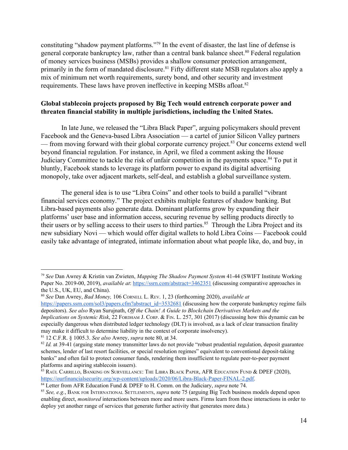constituting "shadow payment platforms."<sup>79</sup> In the event of disaster, the last line of defense is general corporate bankruptcy law, rather than a central bank balance sheet.<sup>80</sup> Federal regulation of money services business (MSBs) provides a shallow consumer protection arrangement, primarily in the form of mandated disclosure.<sup>81</sup> Fifty different state MSB regulators also apply a mix of minimum net worth requirements, surety bond, and other security and investment requirements. These laws have proven ineffective in keeping MSBs afloat.<sup>82</sup>

# **Global stablecoin projects proposed by Big Tech would entrench corporate power and threaten financial stability in multiple jurisdictions, including the United States.**

In late June, we released the "Libra Black Paper", arguing policymakers should prevent Facebook and the Geneva-based Libra Association — a cartel of junior Silicon Valley partners — from moving forward with their global corporate currency project.<sup>83</sup> Our concerns extend well beyond financial regulation. For instance, in April, we filed a comment asking the House Judiciary Committee to tackle the risk of unfair competition in the payments space.<sup>84</sup> To put it bluntly, Facebook stands to leverage its platform power to expand its digital advertising monopoly, take over adjacent markets, self-deal, and establish a global surveillance system.

The general idea is to use "Libra Coins" and other tools to build a parallel "vibrant financial services economy." The project exhibits multiple features of shadow banking. But Libra-based payments also generate data. Dominant platforms grow by expanding their platforms' user base and information access, securing revenue by selling products directly to their users or by selling access to their users to third parties.<sup>85</sup> Through the Libra Project and its new subsidiary Novi — which would offer digital wallets to hold Libra Coins — Facebook could easily take advantage of integrated, intimate information about what people like, do, and buy, in

<sup>79</sup> *See* Dan Awrey & Kristin van Zwieten, *Mapping The Shadow Payment System* 41-44 (SWIFT Institute Working Paper No. 2019-00, 2019), *available at*: <https://ssrn.com/abstract=3462351> (discussing comparative approaches in the U.S., UK, EU, and China).

<sup>80</sup> *See* Dan Awrey, *Bad Money,* 106 CORNELL L. REV. 1, 23 (forthcoming 2020), *available at* [https://papers.ssrn.com/sol3/papers.cfm?abstract\\_id=3532681](https://papers.ssrn.com/sol3/papers.cfm?abstract_id=3532681) (discussing how the corporate bankruptcy regime fails depositors). *See also* Ryan Surujnath, *Of the Chain! A Guide to Blockchain Derivatives Markets and the Implications on Systemic Risk*, 22 FORDHAM J. CORP. & FIN. L. 257, 301 (2017) (discussing how this dynamic can be especially dangerous when distributed ledger technology (DLT) is involved, as a lack of clear transaction finality may make it difficult to determine liability in the context of corporate insolvency).

<sup>81</sup> 12 C.F.R. § 1005.3. *See also* Awrey, *supra* note 80, at 34.

<sup>&</sup>lt;sup>82</sup> *Id.* at 39-41 (arguing state money transmitter laws do not provide "robust prudential regulation, deposit guarantee schemes, lender of last resort facilities, or special resolution regimes" equivalent to conventional deposit-taking banks" and often fail to protect consumer funds, rendering them insufficient to regulate peer-to-peer payment platforms and aspiring stablecoin issuers).

<sup>&</sup>lt;sup>83</sup> RAÚL CARRILLO, BANKING ON SURVEILLANCE: THE LIBRA BLACK PAPER, AFR EDUCATION FUND & DPEF (2020), [https://ourfinancialsecurity.org/wp-content/uploads/2020/06/Libra-Black-Paper-FINAL-2.pdf.](https://ourfinancialsecurity.org/wp-content/uploads/2020/06/Libra-Black-Paper-FINAL-2.pdf)

<sup>84</sup> Letter from AFR Education Fund & DPEF to H. Comm. on the Judiciary, *supra* note 74.

<sup>85</sup> *See, e.g.*, BANK FOR INTERNATIONAL SETTLEMENTS, *supra* note 75 (arguing Big Tech business models depend upon enabling direct, *monitored* interactions between more and more users. Firms learn from these interactions in order to deploy yet another range of services that generate further activity that generates more data.)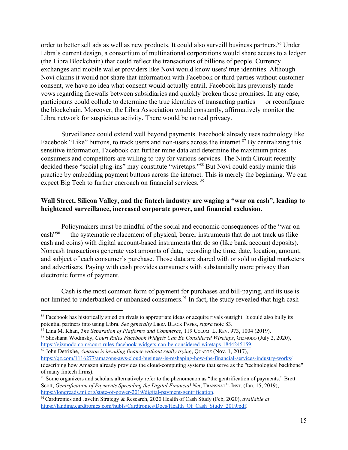order to better sell ads as well as new products. It could also surveill business partners.<sup>86</sup> Under Libra's current design, a consortium of multinational corporations would share access to a ledger (the Libra Blockchain) that could reflect the transactions of billions of people. Currency exchanges and mobile wallet providers like Novi would know users' true identities. Although Novi claims it would not share that information with Facebook or third parties without customer consent, we have no idea what consent would actually entail. Facebook has previously made vows regarding firewalls between subsidiaries and quickly broken those promises. In any case, participants could collude to determine the true identities of transacting parties — or reconfigure the blockchain. Moreover, the Libra Association would constantly, affirmatively monitor the Libra network for suspicious activity. There would be no real privacy.

Surveillance could extend well beyond payments. Facebook already uses technology like Facebook "Like" buttons, to track users and non-users across the internet.  $87$  By centralizing this sensitive information, Facebook can further mine data and determine the maximum prices consumers and competitors are willing to pay for various services. The Ninth Circuit recently decided these "social plug-ins" may constitute "wiretaps."<sup>88</sup> But Novi could easily mimic this practice by embedding payment buttons across the internet. This is merely the beginning. We can expect Big Tech to further encroach on financial services. <sup>89</sup>

# **Wall Street, Silicon Valley, and the fintech industry are waging a "war on cash", leading to heightened surveillance, increased corporate power, and financial exclusion.**

Policymakers must be mindful of the social and economic consequences of the "war on  $\cosh^{90}$  — the systematic replacement of physical, bearer instruments that do not track us (like cash and coins) with digital account-based instruments that do so (like bank account deposits). Noncash transactions generate vast amounts of data, recording the time, date, location, amount, and subject of each consumer's purchase. Those data are shared with or sold to digital marketers and advertisers. Paying with cash provides consumers with substantially more privacy than electronic forms of payment.

Cash is the most common form of payment for purchases and bill-paying, and its use is not limited to underbanked or unbanked consumers.<sup>91</sup> In fact, the study revealed that high cash

<sup>89</sup> John Detrixhe, *Amazon is invading finance without really trying*, QUARTZ (Nov. 1, 2017),

<sup>&</sup>lt;sup>86</sup> Facebook has historically spied on rivals to appropriate ideas or acquire rivals outright. It could also bully its potential partners into using Libra. *See generally* LIBRA BLACK PAPER, *supra* note 83.

<sup>87</sup> Lina M. Khan, *The Separation of Platforms and Commerce*, 119 COLUM. L. REV. 973, 1004 (2019). <sup>88</sup> Shoshana Wodinsky, *Court Rules Facebook Widgets Can Be Considered Wiretaps*, GIZMODO (July 2, 2020), <https://gizmodo.com/court-rules-facebook-widgets-can-be-considered-wiretaps-1844245159>.

<https://qz.com/1116277/amazons-aws-cloud-business-is-reshaping-how-the-financial-services-industry-works/> (describing how Amazon already provides the cloud-computing systems that serve as the "technological backbone" of many fintech firms).

<sup>90</sup> Some organizers and scholars alternatively refer to the phenomenon as "the gentrification of payments." Brett Scott, *Gentrification of Payments Spreading the Digital Financial Net*, TRANSNAT'<sup>L</sup> INST. (Jan. 15, 2019), <https://longreads.tni.org/state-of-power-2019/digital-payment-gentrification>.

<sup>91</sup>Cardtronics and Javelin Strategy & Research, 2020 Health of Cash Study (Feb, 2020), *available at* [https://landing.cardtronics.com/hubfs/Cardtronics/Docs/Health\\_Of\\_Cash\\_Study\\_2019.pdf.](https://landing.cardtronics.com/hubfs/Cardtronics/Docs/Health_Of_Cash_Study_2019.pdf)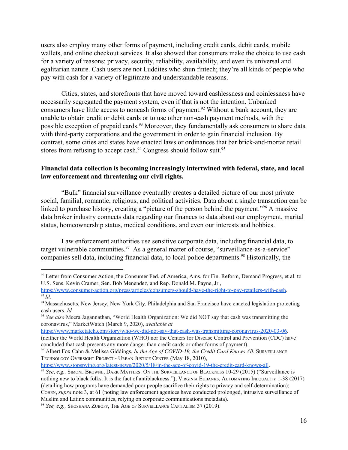users also employ many other forms of payment, including credit cards, debit cards, mobile wallets, and online checkout services. It also showed that consumers make the choice to use cash for a variety of reasons: privacy, security, reliability, availability, and even its universal and egalitarian nature. Cash users are not Luddites who shun fintech; they're all kinds of people who pay with cash for a variety of legitimate and understandable reasons.

Cities, states, and storefronts that have moved toward cashlessness and coinlessness have necessarily segregated the payment system, even if that is not the intention. Unbanked consumers have little access to noncash forms of payment.<sup>92</sup> Without a bank account, they are unable to obtain credit or debit cards or to use other non-cash payment methods, with the possible exception of prepaid cards.<sup>93</sup> Moreover, they fundamentally ask consumers to share data with third-party corporations and the government in order to gain financial inclusion. By contrast, some cities and states have enacted laws or ordinances that bar brick-and-mortar retail stores from refusing to accept cash.<sup>94</sup> Congress should follow suit.<sup>95</sup>

### **Financial data collection is becoming increasingly intertwined with federal, state, and local law enforcement and threatening our civil rights.**

"Bulk" financial surveillance eventually creates a detailed picture of our most private social, familial, romantic, religious, and political activities. Data about a single transaction can be linked to purchase history, creating a "picture of the person behind the payment."<sup>96</sup> A massive data broker industry connects data regarding our finances to data about our employment, marital status, homeownership status, medical conditions, and even our interests and hobbies.

Law enforcement authorities use sensitive corporate data, including financial data, to target vulnerable communities. $97$  As a general matter of course, "surveillance-as-a-service" companies sell data, including financial data, to local police departments.<sup>98</sup> Historically, the

[https://www.marketatch.com/story/who-we-did-not-say-that-cash-was-transmitting-coronavirus-2020-03-06](https://www.marketwatch.com/story/who-we-did-not-say-that-cash-was-transmitting-coronavirus-2020-03-06). (neither the World Health Organization (WHO) nor the Centers for Disease Control and Prevention (CDC) have concluded that cash presents any more danger than credit cards or other forms of payment).

<sup>&</sup>lt;sup>92</sup> Letter from Consumer Action, the Consumer Fed. of America, Ams. for Fin. Reform, Demand Progress, et al. to U.S. Sens. Kevin Cramer, Sen. Bob Menendez, and Rep. Donald M. Payne, Jr.,

<https://www.consumer-action.org/press/articles/consumers-should-have-the-right-to-pay-retailers-with-cash>. <sup>93</sup> *Id.*

<sup>94</sup> Massachusetts, New Jersey, New York City, Philadelphia and San Francisco have enacted legislation protecting cash users. *Id.*

<sup>95</sup> *See also* Meera Jagannathan, "World Health Organization: We did NOT say that cash was transmitting the coronavirus," MarketWatch (March 9, 2020), *available at*

<sup>96</sup> Albert Fox Cahn & Melissa Giddings, *In the Age of COVID-19, the Credit Card Knows All*, SURVEILLANCE TECHNOLOGY OVERSIGHT PROJECT - URBAN JUSTICE CENTER (May 18, 2010),

<https://www.stopspying.org/latest-news/2020/5/18/in-the-age-of-covid-19-the-credit-card-knows-all>.

<sup>97</sup> *See*, *e.g.,* SIMONE BROWNE, DARK MATTERS: O<sup>N</sup> THE SURVEILLANCE OF BLACKNESS 10-29 (2015) ("Surveillance is nothing new to black folks. It is the fact of antiblackness."); VIRGINIA EUBANKS, AUTOMATING INEQUALITY 1-38 (2017) (detailing how programs have demanded poor people sacrifice their rights to privacy and self-determination); COHEN, *supra* note 3, at 61 (noting law enforcement agenices have conducted prolonged, intrusive surveillance of Muslim and Latinx communities, relying on corporate communications metadata).

<sup>98</sup> *See, e.g.,* SHOSHANA ZUBOFF, THE AGE OF SURVEILLANCE CAPITALISM 37 (2019).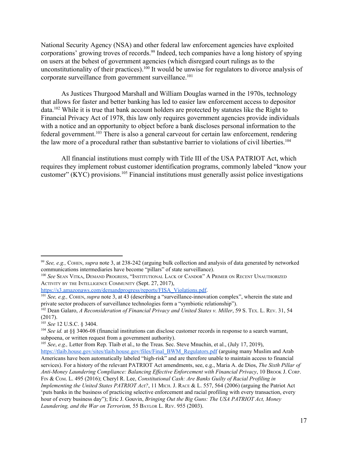National Security Agency (NSA) and other federal law enforcement agencies have exploited corporations' growing troves of records.<sup>99</sup> Indeed, tech companies have a long history of spying on users at the behest of government agencies (which disregard court rulings as to the unconstitutionality of their practices).  $100$  It would be unwise for regulators to divorce analysis of corporate surveillance from government surveillance.<sup>101</sup>

As Justices Thurgood Marshall and William Douglas warned in the 1970s, technology that allows for faster and better banking has led to easier law enforcement access to depositor  $data$ <sup>102</sup> While it is true that bank account holders are protected by statutes like the Right to Financial Privacy Act of 1978, this law only requires government agencies provide individuals with a notice and an opportunity to object before a bank discloses personal information to the federal government.<sup>103</sup> There is also a general carveout for certain law enforcement, rendering the law more of a procedural rather than substantive barrier to violations of civil liberties.<sup>104</sup>

All financial institutions must comply with Title III of the USA PATRIOT Act, which requires they implement robust customer identification programs, commonly labeled "know your customer" (KYC) provisions.  $105$  Financial institutions must generally assist police investigations

<sup>99</sup> *See, e.g.,* COHEN, *supra* note 3, at 238-242 (arguing bulk collection and analysis of data generated by networked communications intermediaries have become "pillars" of state surveillance).

<sup>100</sup> *See* SEAN VITKA, DEMAND PROGRESS, "INSTITUTIONAL LACK OF CANDOR" A PRIMER ON RECENT UNAUTHORIZED ACTIVITY BY THE INTELLIGENCE COMMUNITY (Sept. 27, 2017),

[https://s3.amazonaws.com/demandprogress/reports/FISA\\_Violations.pdf](https://s3.amazonaws.com/demandprogress/reports/FISA_Violations.pdf).

<sup>101</sup> *See, e.g.,* COHEN, *supra* note 3, at 43 (describing a "surveillance-innovation complex", wherein the state and private sector producers of surveillance technologies form a "symbiotic relationship").

<sup>102</sup> Dean Galaro, *A Reconsideration of Financial Privacy and United States v. Miller*, 59 S. TEX. L. REV. 31, 54 (2017).

<sup>103</sup> *See* 12 U.S.C. § 3404.

<sup>104</sup> *See id.* at §§ 3406-08 (financial institutions can disclose customer records in response to a search warrant, subpoena, or written request from a government authority).

<sup>105</sup> *See*, *e.g.,* Letter from Rep. Tlaib et al., to the Treas. Sec. Steve Mnuchin, et al., (July 17, 2019), [https://tlaib.house.gov/sites/tlaib.house.gov/files/Final\\_BWM\\_Regulators.pdf](https://tlaib.house.gov/sites/tlaib.house.gov/files/Final_BWM_Regulators.pdf) (arguing many Muslim and Arab Americans have been automatically labeled "high-risk" and are therefore unable to maintain access to financial services). For a history of the relevant PATRIOT Act amendments, see, e.g., Maria A. de Dios, *The Sixth Pillar of Anti-Money Laundering Compliance: Balancing Ef ective Enforcement with Financial Privacy*, 10 BROOK J. CORP. FIN & COM. L. 495 (2016); Cheryl R. Lee, *Constitutional Cash: Are Banks Guilty of Racial Profiling in Implementing the United States PATRIOT Act?*, 11 MICH. J. RACE & L. 557, 564 (2006) (arguing the Patriot Act 'puts banks in the business of practicing selective enforcement and racial profiling with every transaction, every hour of every business day"); Eric J. Gouvin, *Bringing Out the Big Guns: The USA [PATRIOT](https://1.next.westlaw.com/Link/Document/FullText?findType=Y&serNum=0297301627&pubNum=0001099&originatingDoc=I02a0fe614a8611db99a18fc28eb0d9ae&refType=LR&fi=co_pp_sp_1099_974&originationContext=document&transitionType=DocumentItem&contextData=(sc.Search)#co_pp_sp_1099_974) Act, Money [Laundering,](https://1.next.westlaw.com/Link/Document/FullText?findType=Y&serNum=0297301627&pubNum=0001099&originatingDoc=I02a0fe614a8611db99a18fc28eb0d9ae&refType=LR&fi=co_pp_sp_1099_974&originationContext=document&transitionType=DocumentItem&contextData=(sc.Search)#co_pp_sp_1099_974) and the War on Terrorism,* [55](https://1.next.westlaw.com/Link/Document/FullText?findType=Y&serNum=0297301627&pubNum=0001099&originatingDoc=I02a0fe614a8611db99a18fc28eb0d9ae&refType=LR&fi=co_pp_sp_1099_974&originationContext=document&transitionType=DocumentItem&contextData=(sc.Search)#co_pp_sp_1099_974) BAYLOR L. REV. 955 [\(2003\).](https://1.next.westlaw.com/Link/Document/FullText?findType=Y&serNum=0297301627&pubNum=0001099&originatingDoc=I02a0fe614a8611db99a18fc28eb0d9ae&refType=LR&fi=co_pp_sp_1099_974&originationContext=document&transitionType=DocumentItem&contextData=(sc.Search)#co_pp_sp_1099_974)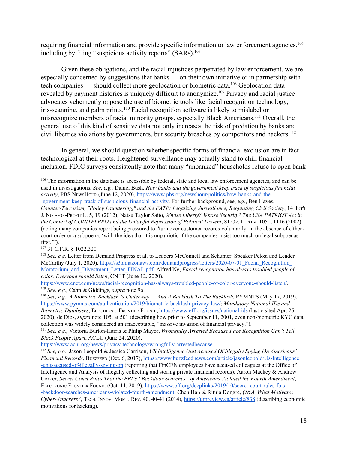requiring financial information and provide specific information to law enforcement agencies,<sup>106</sup> including by filing "suspicious activity reports" (SARs).<sup>107</sup>

Given these obligations, and the racial injustices perpetrated by law enforcement, we are especially concerned by suggestions that banks — on their own initiative or in partnership with tech companies — should collect more geolocation or biometric data.<sup>108</sup> Geolocation data revealed by payment histories is uniquely difficult to anonymize.<sup>109</sup> Privacy and racial justice advocates vehemently oppose the use of biometric tools like facial recognition technology, iris-scanning, and palm prints.<sup>110</sup> Facial recognition software is likely to mislabel or misrecognize members of racial minority groups, especially Black Americans.<sup>111</sup> Overall, the general use of this kind of sensitive data not only increases the risk of predation by banks and civil liberties violations by governments, but security breaches by competitors and hackers.<sup>112</sup>

In general, we should question whether specific forms of financial exclusion are in fact technological at their roots. Heightened surveillance may actually stand to chill financial inclusion. FDIC surveys consistently note that many "unbanked" households refuse to open bank

<sup>107</sup> 31 C.F.R. § 1022.320.

<sup>&</sup>lt;sup>106</sup> The information in the database is accessible by federal, state and local law enforcement agencies, and can be used in investigations. *See*, *e.g.,* Daniel Bush, *How banks and the government keep track of suspicious financial activity*, PBS NEWSHOUR (June 12, 2020), [https://www.pbs.org/newshour/politics/how-banks-and-the](https://www.pbs.org/newshour/politics/how-banks-and-the-government-keep-track-of-suspicious-financial-activity) [-government-keep-track-of-suspicious-financial-activity.](https://www.pbs.org/newshour/politics/how-banks-and-the-government-keep-track-of-suspicious-financial-activity) For further background, see, e.g., Ben Hayes,

*Counter-Terrorism, "Policy Laundering," and the FATF: Legalizing Surveillance, Regulating Civil Society*, 14 INT'<sup>L</sup> J. NOT-FOR-PROFIT L. 5, 19 (2012); Natsu Taylor Saito, *Whose Liberty? Whose Security? The USA PATRIOT Act in the Context of COINTELPRO and the Unlawful Repression of Political Dissent*, 81 OR. L. REV. 1051, 1116 (2002) (noting many companies report being pressured to "turn over customer records voluntarily, in the absence of either a court order or a subpoena, 'with the idea that it is unpatriotic if the companies insist too much on legal subpoenas first.'").

<sup>108</sup> *See, e.g,* Letter from Demand Progress et al. to Leaders McConnell and Schumer, Speaker Pelosi and Leader McCarthy (July 1, 2020), https://s3.amazonaws.com/demandprogress/letters/2020-07-01\_Facial\_Recognition [Moratorium\\_and\\_Divestment\\_Letter\\_FINAL.pdf;](https://s3.amazonaws.com/demandprogress/letters/2020-07-01_Facial_Recognition_Moratorium_and_Divestment_Letter_FINAL.pdf) Alfred Ng, *Facial recognition has always troubled people of color. Everyone should listen*, CNET (June 12, 2020),

<https://www.cnet.com/news/facial-recognition-has-always-troubled-people-of-color-everyone-should-listen/>. <sup>109</sup> *See, e.g.,* Cahn & Giddings, *supra* note 96.

<sup>110</sup> *See, e.g.*, *A Biometric Backlash Is Underway — And A Backlash To The Backlash*, PYMNTS (May 17, 2019), <https://www.pymnts.com/authentication/2019/biometric-backlash-privacy-law/>; *Mandatory National IDs and Biometric Databases*, ELECTRONIC FRONTIER FOUND., <https://www.eff.org/issues/national-ids> (last visited Apr. 25, 2020); de Dios, *supra* note 105, at 501 (describing how prior to September 11, 2001, even non-biometric KYC data collection was widely considered an unacceptable, "massive invasion of financial privacy.").

<sup>111</sup> *See, e.g.,* Victoria Burton-Harris & Philip Mayor, *Wrongfully Arrested Because Face Recognition Can't Tell Black People Apart*, ACLU (June 24, 2020),

[https://www.aclu.org/news/privacy-technology/wrongfully-arrestedbecause.](https://www.aclu.org/news/privacy-technology/wrongfully-arrestedbecause-face-recognition-cant-tell-black-people-apart/)

<sup>112</sup> *See, e.g.*, Jason Leopold & Jessica Garrison, *US Intelligence Unit Accused Of Illegally Spying On Americans' Financial Records*, BUZZFEED (Oct. 6, 2017), [https://www.buzzfeednews.com/article/jasonleopold/Us-Intelligence](https://www.buzzfeednews.com/article/jasonleopold/us-intelligence-unit-accused-of-illegally-spying-on) [-unit-accused-of-illegally-spying-on](https://www.buzzfeednews.com/article/jasonleopold/us-intelligence-unit-accused-of-illegally-spying-on) (reporting that FinCEN employees have accused colleagues at the Office of Intelligence and Analysis of illegally collecting and storing private financial records); Aaron Mackey & Andrew Corker, *Secret Court Rules That the FBI's "Backdoor Searches" of Americans Violated the Fourth Amendment*, ELECTRONIC FRONTIER FOUND. (Oct. 11, 2019), [https://www.eff.org/deeplinks/2019/10/secret-court-rules-fbis](https://www.eff.org/deeplinks/2019/10/secret-court-rules-fbis-backdoor-searches-americans-violated-fourth-amendment) [-backdoor-searches-americans-violated-fourth-amendment;](https://www.eff.org/deeplinks/2019/10/secret-court-rules-fbis-backdoor-searches-americans-violated-fourth-amendment) Chen Han & Rituja Dongre, *Q&A. What Motivates Cyber-Attackers?*, TECH. INNOV. MGMT. REV. 40, 40-41 (2014), <https://timreview.ca/article/838> (describing economic motivations for hacking).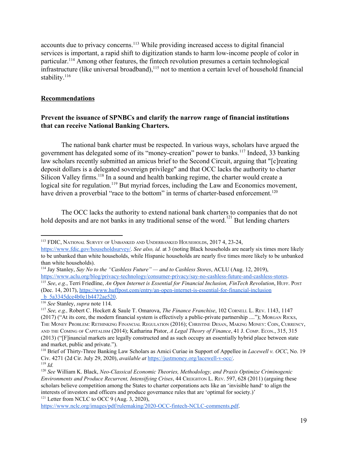accounts due to privacy concerns.<sup>113</sup> While providing increased access to digital financial services is important, a rapid shift to digitization stands to harm low-income people of color in particular.<sup>114</sup> Among other features, the fintech revolution presumes a certain technological infrastructure (like universal broadband),  $115$  not to mention a certain level of household financial stability.<sup>116</sup>

### **Recommendations**

# **Prevent the issuance of SPNBCs and clarify the narrow range of financial institutions that can receive National Banking Charters.**

The national bank charter must be respected. In various ways, scholars have argued the government has delegated some of its "money-creation" power to banks.<sup>117</sup> Indeed, 33 banking law scholars recently submitted an amicus brief to the Second Circuit, arguing that "[c]reating deposit dollars is a delegated sovereign privilege" and that OCC lacks the authority to charter Silicon Valley firms.<sup>118</sup> In a sound and health banking regime, the charter would create a logical site for regulation.<sup>119</sup> But myriad forces, including the Law and Economics movement, have driven a proverbial "race to the bottom" in terms of charter-based enforcement.<sup>120</sup>

The OCC lacks the authority to extend national bank charters to companies that do not hold deposits and are not banks in any traditional sense of the word.<sup>121</sup> But lending charters

<sup>113</sup> FDIC, NATIONAL SURVEY OF UNBANKED AND UNDERBANKED HOUSEHOLDS, 2017 4, 23-24,

<https://www.fdic.gov/householdsurvey/>. *See also, id.* at 3 (noting Black households are nearly six times more likely to be unbanked than white households, while Hispanic households are nearly five times more likely to be unbanked than white households).

<sup>114</sup> Jay Stanley, *Say No to the "Cashless Future" — and to Cashless Stores*, ACLU (Aug. 12, 2019), [https://www.aclu.org/blog/privacy-technology/consumer-privacy/say-no-cashless-future-and-cashless-stores.](https://www.aclu.org/blog/privacy-technology/consumer-privacy/say-no-cashless-future-and-cashless-stores)

<sup>115</sup> *See*, *e.g.*, Terri Friedline, *An Open Internet is Essential for Financial Inclusion, FinTech Revolution*, HUFF. POST (Dec. 14, 2017), [https://www.huffpost.com/entry/an-open-internet-is-essential-for-financial-inclusion](https://www.huffpost.com/entry/an-open-internet-is-essential-for-financial-inclusion_b_5a3345dce4b0e1b4472ae520) b 5a3345dce4b0e1b4472ae520.

<sup>116</sup> *See* Stanley, *supra* note 114.

<sup>117</sup> *See, e.g.,* Robert C. Hockett & Saule T. Omarova, *The Finance Franchise*, 102 CORNELL L. REV. 1143, 1147 (2017) ("At its core, the modern financial system is effectively a public-private partnership ...."); MORGAN RICKS, THE MONEY PROBLEM: RETHINKING FINANCIAL REGULATION (2016); CHRISTINE DESAN, MAKING MONEY: COIN, CURRENCY, AND THE COMING OF CAPITALISM (2014); Katharina Pistor, *A Legal Theory of Finance*, 41 J. COMP. ECON., 315, 315 (2013) ("[F]inancial markets are legally constructed and as such occupy an essentially hybrid place between state and market, public and private.").

<sup>118</sup> Brief of Thirty-Three Banking Law Scholars as Amici Curiae in Support of Appellee in *Lacewell v. OCC*, No. 19 Civ. 4271 (2d Cir. July 29, 2020), *available at* [https://justmoney.org/lacewell-v-occ/.](https://justmoney.org/lacewell-v-occ/) <sup>119</sup> *Id.*

<sup>120</sup> *See* William K. Black, *Neo-Classical Economic Theories, Methodology, and Praxis Optimize Criminogenic Environments and Produce Recurrent, Intensifying Crises*, 44 CREIGHTON L. REV. 597, 628 (2011) (arguing these scholars believe competition among the States to charter corporations acts like an 'invisible hand' to align the interests of investors and officers and produce governance rules that are 'optimal for society.)' <sup>121</sup> Letter from NCLC to OCC 9 (Aug. 3, 2020),

[https://www.nclc.org/images/pdf/rulemaking/2020-OCC-fintech-NCLC-comments.pdf.](https://www.nclc.org/images/pdf/rulemaking/2020-OCC-fintech-NCLC-comments.pdf)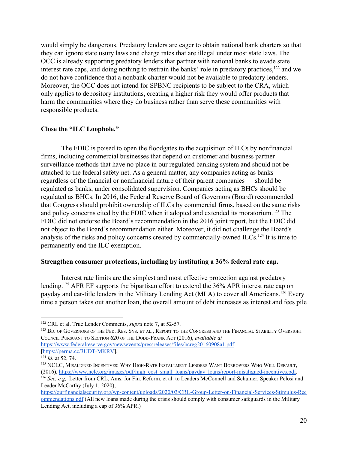would simply be dangerous. Predatory lenders are eager to obtain national bank charters so that they can ignore state usury laws and charge rates that are illegal under most state laws. The OCC is already supporting predatory lenders that partner with national banks to evade state interest rate caps, and doing nothing to restrain the banks' role in predatory practices,  $122$  and we do not have confidence that a nonbank charter would not be available to predatory lenders. Moreover, the OCC does not intend for SPBNC recipients to be subject to the CRA, which only applies to depository institutions, creating a higher risk they would offer products that harm the communities where they do business rather than serve these communities with responsible products.

#### **Close the "ILC Loophole."**

The FDIC is poised to open the floodgates to the acquisition of ILCs by nonfinancial firms, including commercial businesses that depend on customer and business partner surveillance methods that have no place in our regulated banking system and should not be attached to the federal safety net. As a general matter, any companies acting as banks regardless of the financial or nonfinancial nature of their parent companies — should be regulated as banks, under consolidated supervision. Companies acting as BHCs should be regulated as BHCs. In 2016, the Federal Reserve Board of Governors (Board) recommended that Congress should prohibit ownership of ILCs by commercial firms, based on the same risks and policy concerns cited by the FDIC when it adopted and extended its moratorium.<sup>123</sup> The FDIC did not endorse the Board's recommendation in the 2016 joint report, but the FDIC did not object to the Board's recommendation either. Moreover, it did not challenge the Board's analysis of the risks and policy concerns created by commercially-owned ILCs.<sup>124</sup> It is time to permanently end the ILC exemption.

#### **Strengthen consumer protections, including by instituting a 36% federal rate cap.**

Interest rate limits are the simplest and most effective protection against predatory lending.<sup>125</sup> AFR EF supports the bipartisan effort to extend the  $36\%$  APR interest rate cap on payday and car-title lenders in the Military Lending Act (MLA) to cover all Americans.<sup>126</sup> Every time a person takes out another loan, the overall amount of debt increases as interest and fees pile

<sup>122</sup> CRL et al. True Lender Comments, *supra* note 7, at 52-57.

<sup>&</sup>lt;sup>123</sup> Bd. of Governors of the Fed. Res. Sys. et al., Report to the Congress and the Financial Stability Oversight COUNCIL PURSUANT TO SECTION 620 OF THE DODD-FRANK ACT (2016), *available at*

<https://www.federalreserve.gov/newsevents/pressreleases/files/bcreg20160908a1.pdf> [\[https://perma.cc/3UDT-MKRV](https://perma.cc/3UDT-MKRV)].

<sup>124</sup> *Id.* at 52, 74.

<sup>&</sup>lt;sup>125</sup> NCLC, MISALIGNED INCENTIVES: WHY HIGH-RATE INSTALLMENT LENDERS WANT BORROWERS WHO WILL DEFAULT, (2016), [https://www.nclc.org/images/pdf/high\\_cost\\_small\\_loans/payday\\_loans/report-misaligned-incentives.pdf.](https://www.nclc.org/images/pdf/high_cost_small_loans/payday_loans/report-misaligned-incentives.pdf) <sup>126</sup> *See, e.g,* Letter from CRL, Ams. for Fin. Reform, et al. to Leaders McConnell and Schumer, Speaker Pelosi and Leader McCarthy (July 1, 2020),

[https://ourfinancialsecurity.org/wp-content/uploads/2020/03/CRL-Group-Letter-on-Financial-Services-Stimulus-Rec](https://ourfinancialsecurity.org/wp-content/uploads/2020/03/CRL-Group-Letter-on-Financial-Services-Stimulus-Recommendations.pdf) [ommendations.pdf](https://ourfinancialsecurity.org/wp-content/uploads/2020/03/CRL-Group-Letter-on-Financial-Services-Stimulus-Recommendations.pdf) (All new loans made during the crisis should comply with consumer safeguards in the Military Lending Act, including a cap of 36% APR.)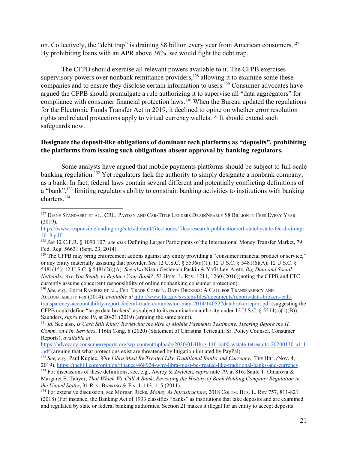on. Collectively, the "debt trap" is draining \$8 billion every year from American consumers.<sup>127</sup> By prohibiting loans with an APR above 36%, we would fight the debt trap.

The CFPB should exercise all relevant powers available to it. The CFPB exercises supervisory powers over nonbank remittance providers,  $128$  allowing it to examine some these companies and to ensure they disclose certain information to users.<sup>129</sup> Consumer advocates have argued the CFPB should promulgate a rule authorizing it to supervise all "data aggregators" for compliance with consumer financial protection laws.  $130$  When the Bureau updated the regulations for the Electronic Funds Transfer Act in 2019, it declined to opine on whether error resolution rights and related protections apply to virtual currency wallets.<sup>131</sup> It should extend such safeguards now.

# **Designate the deposit-like obligations of dominant tech platforms as "deposits", prohibiting the platforms from issuing such obligations absent approval by banking regulators.**

Some analysts have argued that mobile payments platforms should be subject to full-scale banking regulation.<sup>132</sup> Yet regulators lack the authority to simply designate a nonbank company, as a bank. In fact, federal laws contain several different and potentially conflicting definitions of a "bank", <sup>133</sup> limiting regulators ability to constrain banking activities to institutions with banking charters.<sup>134</sup>

<sup>130</sup> *See, e.g.*, EDITH RAMIREZ ET AL., FED. TRADE COMM'N, DATA BROKERS: A CALL FOR TRANSPARENCY AND ACCOUNTABILITY i-ix (2014), *available at* [http://www.ftc.gov/system/files/documents/reports/data-brokers-call](http://www.ftc.gov/system/files/documents/reports/data-brokers-call-transparency-accountability-report-federal-trade-commission-may-2014/140527databrokerreport.pdf?utm_source=govdelivery)[transparency-accountability-report-federal-trade-commission-may-2014/140527databrokerreport.pdf](http://www.ftc.gov/system/files/documents/reports/data-brokers-call-transparency-accountability-report-federal-trade-commission-may-2014/140527databrokerreport.pdf?utm_source=govdelivery) (suggesting the CFPB could define "large data brokers" as subject to its examination authority under  $12 \text{ U.S.C. }$  § 5514(a)(1)(B)); Saunders, *supra* note 19, at 20-21 (2019) (arguing the same point).

<sup>&</sup>lt;sup>127</sup> DIANE STANDAERT ET AL., CRL, PAYDAY AND CAR-TITLE LENDERS DRAINNEARLY \$8 BILLION IN FEES EVERY YEAR (2019),

[https://www.responsiblelending.org/sites/default/files/nodes/files/research-publication/crl-statebystate-fee-drain-apr](https://www.responsiblelending.org/sites/default/files/nodes/files/research-publication/crl-statebystate-fee-drain-apr2019.pdf) [2019.pdf.](https://www.responsiblelending.org/sites/default/files/nodes/files/research-publication/crl-statebystate-fee-drain-apr2019.pdf)

<sup>128</sup> *See* 12 C.F.R. § 1090.107; *see also* Defining Larger Participants of the International Money Transfer Market, 79 Fed. Reg. 56631 (Sept. 23, 2014).

<sup>&</sup>lt;sup>129</sup> The CFPB may bring enforcement actions against any entity providing a "consumer financial product or service," or any entity materially assisting that provider. *See* 12 U.S.C. § 5536(a)(1); 12 U.S.C. § 5481(6)(A); 12 U.S.C. § 5481(15); 12 U.S.C. § 5481(26)(A). *See also* Nizan Geslevich Packin & Yafit Lev-Aretz, *Big Data and Social Netbanks: Are You Ready to Replace Your Bank?*, 53 HOUS. L. REV. 1211, 1260 (2016)(noting the CFPB and FTC currently assume concurrent responsibility of online nonbanking consumer protection).

<sup>131</sup> *Id.* See also, *Is Cash Still King? Reviewing the Rise of Mobile Payments Testimony: Hearing Before the H. Comm. on Fin. Services*, 116th Cong. 8 (2020) (Statement of Christina Tetreault, Sr. Policy Counsel, Consumer Reports), *available at*

[https://advocacy.consumerreports.org/wp-content/uploads/2020/01/Hhrg-116-ba00-wstate-tetreaultc-20200130-u1-1](https://advocacy.consumerreports.org/wp-content/uploads/2020/01/hhrg-116-ba00-wstate-tetreaultc-20200130-u1-1.pdf) [.pdf](https://advocacy.consumerreports.org/wp-content/uploads/2020/01/hhrg-116-ba00-wstate-tetreaultc-20200130-u1-1.pdf) (arguing that what protections exist are threatened by litigation initiated by PayPal).

<sup>132</sup> *See, e.g.*, Paul Kupiec, *Why Libra Must Be Treated Like Traditional Banks and Currency*, THE HILL *(*Nov. 4, 2019), <https://thehill.com/opinion/finance/468924-why-libra-must-be-treated-like-traditional-banks-and-currency>.

<sup>133</sup> For discussions of these definitions, see, e.g., Awrey & Zwieten, *supra* note 79, at 816; Saule T. Omarova & Margaret E. Tahyar, *That Which We Call A Bank: Revisiting the History of Bank Holding Company Regulation in the United States*, 31 REV. BANKING & FIN. L 113, 115 (2011).

<sup>134</sup> For extensive discussion, see Morgan Ricks, *Money As Infrastructure*, 2018 COLUM. BUS. L. REV 757, 811-821 (2018) (For instance, the Banking Act of 1933 classifies "banks" as institutions that take deposits and are examined and regulated by state or federal banking authorities. Section 21 makes it illegal for an entity to accept deposits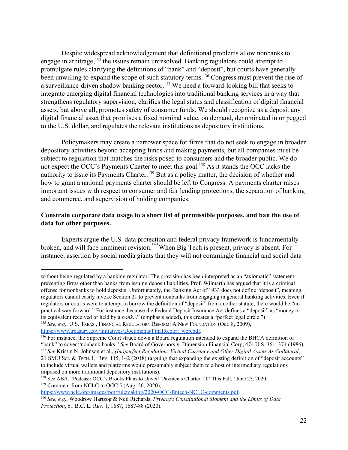Despite widespread acknowledgement that definitional problems allow nonbanks to engage in arbitrage,  $135$  the issues remain unresolved. Banking regulators could attempt to promulgate rules clarifying the definitions of "bank" and "deposit", but courts have generally been unwilling to expand the scope of such statutory terms.<sup>136</sup> Congress must prevent the rise of a surveillance-driven shadow banking sector.<sup>137</sup> We need a forward-looking bill that seeks to integrate emerging digital financial technologies into traditional banking services in a way that strengthens regulatory supervision, clarifies the legal status and classification of digital financial assets, but above all, promotes safety of consumer funds. We should recognize as a deposit any digital financial asset that promises a fixed nominal value, on demand, denominated in or pegged to the U.S. dollar, and regulates the relevant institutions as depository institutions.

Policymakers may create a narrower space for firms that do not seek to engage in broader depository activities beyond accepting funds and making payments, but all companies must be subject to regulation that matches the risks posed to consumers and the broader public. We do not expect the OCC's Payments Charter to meet this goal.<sup>138</sup> As it stands the OCC lacks the authority to issue its Payments Charter.<sup>139</sup> But as a policy matter, the decision of whether and how to grant a national payments charter should be left to Congress. A payments charter raises important issues with respect to consumer and fair lending protections, the separation of banking and commerce, and supervision of holding companies.

### **Constrain corporate data usage to a short list of permissible purposes, and ban the use of data for other purposes.**

Experts argue the U.S. data protection and federal privacy framework is fundamentally broken, and will face imminent revision.<sup>140</sup> When Big Tech is present, privacy is absent. For instance, assertion by social media giants that they will not commingle financial and social data

[https://www.nclc.org/images/pdf/rulemaking/2020-OCC-fintech-NCLC-comments.pdf.](https://www.nclc.org/images/pdf/rulemaking/2020-OCC-fintech-NCLC-comments.pdf)

without being regulated by a banking regulator. The provision has been interpreted as an "axiomatic" statement preventing firms other than banks from issuing deposit liabilities. Prof. Wilmarth has argued that it is a criminal offense for nonbanks to hold deposits. Unfortunately, the Banking Act of 1933 does not define "deposit", meaning regulators cannot easily invoke Section 21 to prevent nonbanks from engaging in general banking activities. Even if regulators or courts were to attempt to borrow the definition of "deposit" from another statute, there would be "no practical way forward." For instance, because the Federal Deposit Insurance Act defines a "deposit" as "money or its equivalent received or held by a *bank*..." (emphasis added), this creates a "perfect legal circle.") <sup>135</sup> *See, e.g.*, U.S. TREAS., FINANCIAL REGULATORY REFORM: A NEW FOUNDATION (Oct. 8, 2009),

[https://www.treasury.gov/initiatives/Documents/FinalReport\\_web.pdf](https://www.treasury.gov/initiatives/Documents/FinalReport_web.pdf).

<sup>&</sup>lt;sup>136</sup> For instance, the Supreme Court struck down a Board regulation intended to expand the BHCA definition of "bank" to cover "nonbank banks." *See* Board of Governors v. Dimension Financial Corp, 474 U.S. 361, 374 (1986). <sup>137</sup> *See* Kristin N. Johnson et al., *(Im)perfect Regulation: Virtual Currency and Other Digital Assets As Collateral*,

<sup>21</sup> SMU SCI. & TECH. L. REV. 115, 142 (2018) (arguing that expanding the existing definition of "deposit accounts" to include virtual wallets and platforms would presumably subject them to a host of intermediary regulations imposed on more traditional depository institutions).

<sup>&</sup>lt;sup>138</sup> See ABA, "Podcast: OCC's Brooks Plans to Unveil 'Payments Charter 1.0' This Fall," June 25, 2020. <sup>139</sup> Comment from NCLC to OCC 5 (Aug. 20, 2020),

<sup>140</sup> *See, e.g*., Woodrow Hartzog & Neil Richards, *Privacy's Constitutional Moment and the Limits of Data Protection*, 61 B.C. L. REV. 1, 1687, 1687-88 (2020).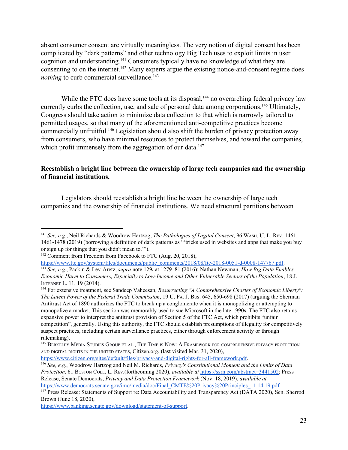absent consumer consent are virtually meaningless. The very notion of digital consent has been complicated by "dark patterns" and other technology Big Tech uses to exploit limits in user cognition and understanding.<sup>141</sup> Consumers typically have no knowledge of what they are consenting to on the internet.  $\frac{142}{4}$  Many experts argue the existing notice-and-consent regime does *nothing* to curb commercial surveillance.<sup>143</sup>

While the FTC does have some tools at its disposal, <sup>144</sup> no overarching federal privacy law currently curbs the collection, use, and sale of personal data among corporations.<sup>145</sup> Ultimately, Congress should take action to minimize data collection to that which is narrowly tailored to permitted usages, so that many of the aforementioned anti-competitive practices become commercially unfruitful.<sup>146</sup> Legislation should also shift the burden of privacy protection away from consumers, who have minimal resources to protect themselves, and toward the companies, which profit immensely from the aggregation of our data.<sup>147</sup>

## **Reestablish a bright line between the ownership of large tech companies and the ownership of financial institutions.**

Legislators should reestablish a bright line between the ownership of large tech companies and the ownership of financial institutions. We need structural partitions between

<https://www.citizen.org/sites/default/files/privacy-and-digital-rights-for-all-framework.pdf>.

<https://www.banking.senate.gov/download/statement-of-support>.

<sup>141</sup> *See, e.g.*, Neil Richards & Woodrow Hartzog, *The Pathologies of Digital Consent*, 96 WASH. U. L. REV. 1461, 1461-1478 (2019) (borrowing a definition of dark patterns as "'tricks used in websites and apps that make you buy or sign up for things that you didn't mean to.'").

<sup>&</sup>lt;sup>142</sup> Comment from Freedom from Facebook to FTC (Aug. 20, 2018),

[https://www.ftc.gov/system/files/documents/public\\_comments/2018/08/ftc-2018-0051-d-0008-147767.pdf.](https://www.ftc.gov/system/files/documents/public_comments/2018/08/ftc-2018-0051-d-0008-147767.pdf) <sup>143</sup> *See, e.g.*, Packin & Lev-Aretz, *supra* note 129**,** at 1279–81 (2016); Nathan Newman, *How Big Data Enables Economic Harm to Consumers, Especially to Low-Income and Other Vulnerable Sectors of the Population*, 18 J. INTERNET L. 11, 19 (2014).

<sup>144</sup> For extensive treatment, see Sandeep Vaheesan, *Resurrecting "A Comprehensive Charter of Economic Liberty": The Latent Power of the Federal Trade Commission*, 19 U. PA. J. BUS. 645, 650-698 (2017) (arguing the Sherman Antitrust Act of 1890 authorizes the FTC to break up a conglomerate when it is monopolizing or attempting to monopolize a market. This section was memorably used to sue Microsoft in the late 1990s. The FTC also retains expansive power to interpret the antitrust provision of Section 5 of the FTC Act, which prohibits "unfair competition", generally. Using this authority, the FTC should establish presumptions of illegality for competitively suspect practices, including certain surveillance practices, either through enforcement activity or through rulemaking).

<sup>&</sup>lt;sup>145</sup> BERKELEY MEDIA STUDIES GROUP ET AL., THE TIME IS NOW: A FRAMEWORK FOR COMPREHENSIVE PRIVACY PROTECTION AND DIGITAL RIGHTS IN THE UNITED STATES, Citizen.org, (last visited Mar. 31, 2020),

<sup>146</sup> *See, e.g.*, Woodrow Hartzog and Neil M. Richards, *Privacy's Constitutional Moment and the Limits of Data Protection,* 61 BOSTON COLL. L. REV.(forthcoming 2020), *available a[t](https://ssrn.com/abstract=3441502)* <https://ssrn.com/abstract=3441502>; Press Release, Senate Democrats, *Privacy and Data Protection Framework* (Nov. 18, 2019), *available at* [https://www.democrats.senate.gov/imo/media/doc/Final\\_CMTE%20Privacy%20Principles\\_11.14.19.pdf.](https://www.democrats.senate.gov/imo/media/doc/Final_CMTE%20Privacy%20Principles_11.14.19.pdf)

<sup>&</sup>lt;sup>147</sup> Press Release: Statements of Support re: Data Accountability and Transparency Act (DATA 2020), Sen. Sherrod Brown (June 18, 2020),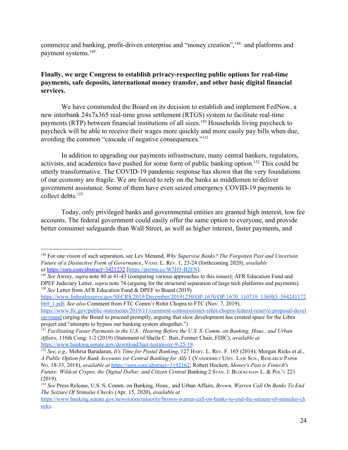commerce and banking, profit-driven enterprise and "money creation", <sup>148</sup> and platforms and payment systems.<sup>149</sup>

# **Finally, we urge Congress to establish privacy-respecting public options for real-time payments, safe deposits, international money transfer, and other basic digital financial services.**

We have commended the Board on its decision to establish and implement FedNow, a new interbank 24x7x365 real-time gross settlement (RTGS) system to facilitate real-time payments (RTP) between financial institutions of all sizes.<sup>150</sup> Households living paycheck to paycheck will be able to receive their wages more quickly and more easily pay bills when due, avoiding the common "cascade of negative consequences."<sup>151</sup>

In addition to upgrading our payments infrastructure, many central bankers, regulators, activists, and academics have pushed for some form of public banking option.<sup>152</sup> This could be utterly transformative. The COVID-19 pandemic response has shown that the very foundations of our economy are fragile. We are forced to rely on the banks as middlemen to deliver government assistance. Some of them have even seized emergency COVID-19 payments to collect debts.<sup>153</sup>

Today, only privileged banks and governmental entities are granted high interest, low fee accounts. The federal government could easily offer the same option to everyone, and provide better consumer safeguards than Wall Street, as well as higher interest, faster payments, and

[https://www.federalreserve.gov/SECRS/2019/December/20191230/OP-1670/OP-1670\\_110719\\_136983\\_394241172](https://www.federalreserve.gov/SECRS/2019/December/20191230/OP-1670/OP-1670_110719_136983_394241172069_1.pdf)\_ [069\\_1.pdf](https://www.federalreserve.gov/SECRS/2019/December/20191230/OP-1670/OP-1670_110719_136983_394241172069_1.pdf). *See also* Comment from FTC Comm'r Rohit Chopra to FTC (Nov. 7, 2019),

[https://www.ftc.gov/public-statements/2019/11/comment-commissioner-rohit-chopra-federal-reserve-proposal-devel](https://www.ftc.gov/public-statements/2019/11/comment-commissioner-rohit-chopra-federal-reserve-proposal-develop-round) [op-round](https://www.ftc.gov/public-statements/2019/11/comment-commissioner-rohit-chopra-federal-reserve-proposal-develop-round) (urging the Board to proceed promptly, arguing that slow development has created space for the Libra project and "attempts to bypass our banking system altogether.")

<sup>148</sup> For one vision of such separation, see Lev Menand, *Why Supervise Banks? The Forgotten Past and Uncertain Future of a Distinctive Form of Governance*, VAND. L. REV. 1, 23-24 (forthcoming 2020), *available at* <https://ssrn.com/abstract=3421232> [\[https://perma.cc/W5H5-B2FN](https://perma.cc/W5H5-B2FN)].

<sup>149</sup> *See* Awrey, *supra* note 80 at 41-43 (comparing various approaches to this issues); AFR Education Fund and DPEF Judiciary Letter, *supra* note 74 (arguing for the structural separation of large tech platforms and payments). <sup>150</sup> *See* Letter from AFR Education Fund & DPEF to Board (2019)

<sup>&</sup>lt;sup>151</sup> Facilitating Faster Payments in the U.S.: Hearing Before the U.S. S. Comm. on Banking, Hous., and Urban *Af airs*, 116th Cong. 1-2 (2019) (Statement of Sheila C. Bair, Former Chair, FDIC), *available at* <https://www.banking.senate.gov/download/bair-testimony-9-25-19>.

<sup>152</sup> *See, e.g.,* Mehrsa Baradaran, *It's Time for Postal Banking*, 127 HARV. L. REV. F. 165 (2014); Morgan Ricks et al., *A Public Option for Bank Accounts (or Central Banking for All)* 1 (VANDERBILT UNIV. LAW SCH., RESEARCH PAPER NO. 18-33, 2018), *available at* [https://ssrn.com/abstract=3192162;](https://ssrn.com/abstract=3192162) Robert Hockett, *Money's Past is Fintech's Future: Wildcat Crypto, the Digital Dollar, and Citizen Central* Banking 2 STAN. J. BLOCKCHAIN L. & POL'<sup>Y</sup> 221 (2019).

<sup>153</sup> *See* Press Release, U.S. S. Comm. on Banking, Hous., and Urban Affairs, *Brown, Warren Call On Banks To End The Seizure Of Stimulus Checks* (Apr. 15, 2020), *available at*

[https://www.banking.senate.gov/newsroom/minority/brown-warren-call-on-banks-to-end-the-seizure-of-stimulus-ch](https://www.banking.senate.gov/newsroom/minority/brown-warren-call-on-banks-to-end-the-seizure-of-stimulus-checks) [ecks.](https://www.banking.senate.gov/newsroom/minority/brown-warren-call-on-banks-to-end-the-seizure-of-stimulus-checks)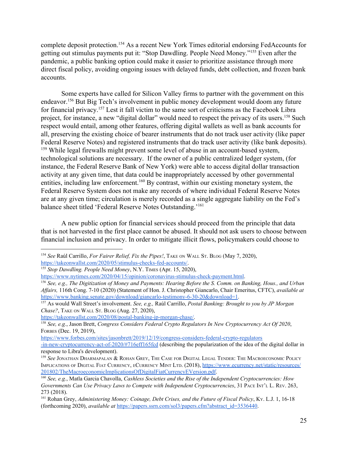complete deposit protection.<sup>154</sup> As a recent New York Times editorial endorsing FedAccounts for getting out stimulus payments put it: "Stop Dawdling. People Need Money."<sup>155</sup> Even after the pandemic, a public banking option could make it easier to prioritize assistance through more direct fiscal policy, avoiding ongoing issues with delayed funds, debt collection, and frozen bank accounts.

Some experts have called for Silicon Valley firms to partner with the government on this endeavor.<sup>156</sup> But Big Tech's involvement in public money development would doom any future for financial privacy.  $157$  Lest it fall victim to the same sort of criticisms as the Facebook Libra project, for instance, a new "digital dollar" would need to respect the privacy of its users. <sup>158</sup> Such respect would entail, among other features, offering digital wallets as well as bank accounts for all, preserving the existing choice of bearer instruments that do not track user activity (like paper Federal Reserve Notes) and registered instruments that do track user activity (like bank deposits). <sup>159</sup> While legal firewalls might prevent some level of abuse in an account-based system, technological solutions are necessary. If the owner of a public centralized ledger system, (for instance, the Federal Reserve Bank of New York) were able to access digital dollar transaction activity at any given time, that data could be inappropriately accessed by other governmental entities, including law enforcement.  $160$  By contrast, within our existing monetary system, the Federal Reserve System does not make any records of where individual Federal Reserve Notes are at any given time; circulation is merely recorded as a single aggregate liability on the Fed's balance sheet titled 'Federal Reserve Notes Outstanding.'<sup>161</sup>

A new public option for financial services should proceed from the principle that data that is not harvested in the first place cannot be abused. It should not ask users to choose between financial inclusion and privacy. In order to mitigate illicit flows, policymakers could choose to

<https://takeonwallst.com/2020/08/postal-banking-jp-morgan-chase/>.

[https://www.forbes.com/sites/jasonbrett/2019/12/19/congress-considers-federal-crypto-regulators](https://www.forbes.com/sites/jasonbrett/2019/12/19/congress-considers-federal-crypto-regulators-in-new-cryptocurrency-act-of-2020/#716eff165fcd)

<sup>154</sup> *See* Raúl Carrillo, *For Fairer Relief, Fix the Pipes!*, TAKE ON WALL ST. BLOG (May 7, 2020),

[https://takeonwallst.com/2020/05/stimulus-checks-fed-accounts/.](https://takeonwallst.com/2020/05/stimulus-checks-fed-accounts/)

<sup>155</sup> *Stop Dawdling. People Need Money*, N.Y. TIMES (Apr. 15, 2020),

<https://www.nytimes.com/2020/04/15/opinion/coronavirus-stimulus-check-payment.html>.

<sup>&</sup>lt;sup>156</sup> See, e.g., The Digitization of Money and Payments: Hearing Before the S. Comm. on Banking, Hous., and Urban *Af airs,* 116th Cong. 7-10 (2020) (Statement of Hon. J. Christopher Giancarlo, Chair Emeritus, CFTC), *available at* <https://www.banking.senate.gov/download/giancarlo-testimony-6-30-20&download=1>.

<sup>157</sup> As would Wall Street's involvement. *See, e.g.,* Raúl Carrillo, *Postal Banking: Brought to you by JP Morgan Chase?*, TAKE ON WALL ST. BLOG (Aug. 27, 2020),

<sup>158</sup> *See, e.g.*, Jason Brett, *Congress Considers Federal Crypto Regulators In New Cryptocurrency Act Of 2020*, FORBES (Dec. 19, 2019),

[<sup>-</sup>in-new-cryptocurrency-act-of-2020/#716eff165fcd](https://www.forbes.com/sites/jasonbrett/2019/12/19/congress-considers-federal-crypto-regulators-in-new-cryptocurrency-act-of-2020/#716eff165fcd) (describing the popularization of the idea of the digital dollar in response to Libra's development).

<sup>159</sup> *See* JONATHAN DHARMAPALAN & ROHAN GREY, THE CASE FOR DIGITAL LEGAL TENDER: THE MACROECONOMIC POLICY IMPLICATIONS OF DIGITAL FIAT CURRENCY, <sup>E</sup>CURRENCY MINT LTD. (2018), [https://www.ecurrency.net/static/resources/](https://www.ecurrency.net/static/resources/201802/TheMacroeconomicImplicationsOfDigitalFiatCurrencyEVersion.pdf) [201802/TheMacroeconomicImplicationsOfDigitalFiatCurrencyEVersion.pdf.](https://www.ecurrency.net/static/resources/201802/TheMacroeconomicImplicationsOfDigitalFiatCurrencyEVersion.pdf)

<sup>160</sup> *See, e.g.*, Matla Garcia Chavolla, *Cashless Societies and the Rise of the Independent Cryptocurrencies: How Governments Can Use Privacy Laws to Compete with Independent Cryptocurrencies*, 31 PACE INT'<sup>L</sup> L. REV. 263, 273 (2018).

<sup>161</sup> Rohan Grey, *Administering Money: Coinage, Debt Crises, and the Future of Fiscal Policy*, KY. L.J. 1, 16-18 (forthcoming 2020), *available at* [https://papers.ssrn.com/sol3/papers.cfm?abstract\\_id=3536440.](https://papers.ssrn.com/sol3/papers.cfm?abstract_id=3536440)